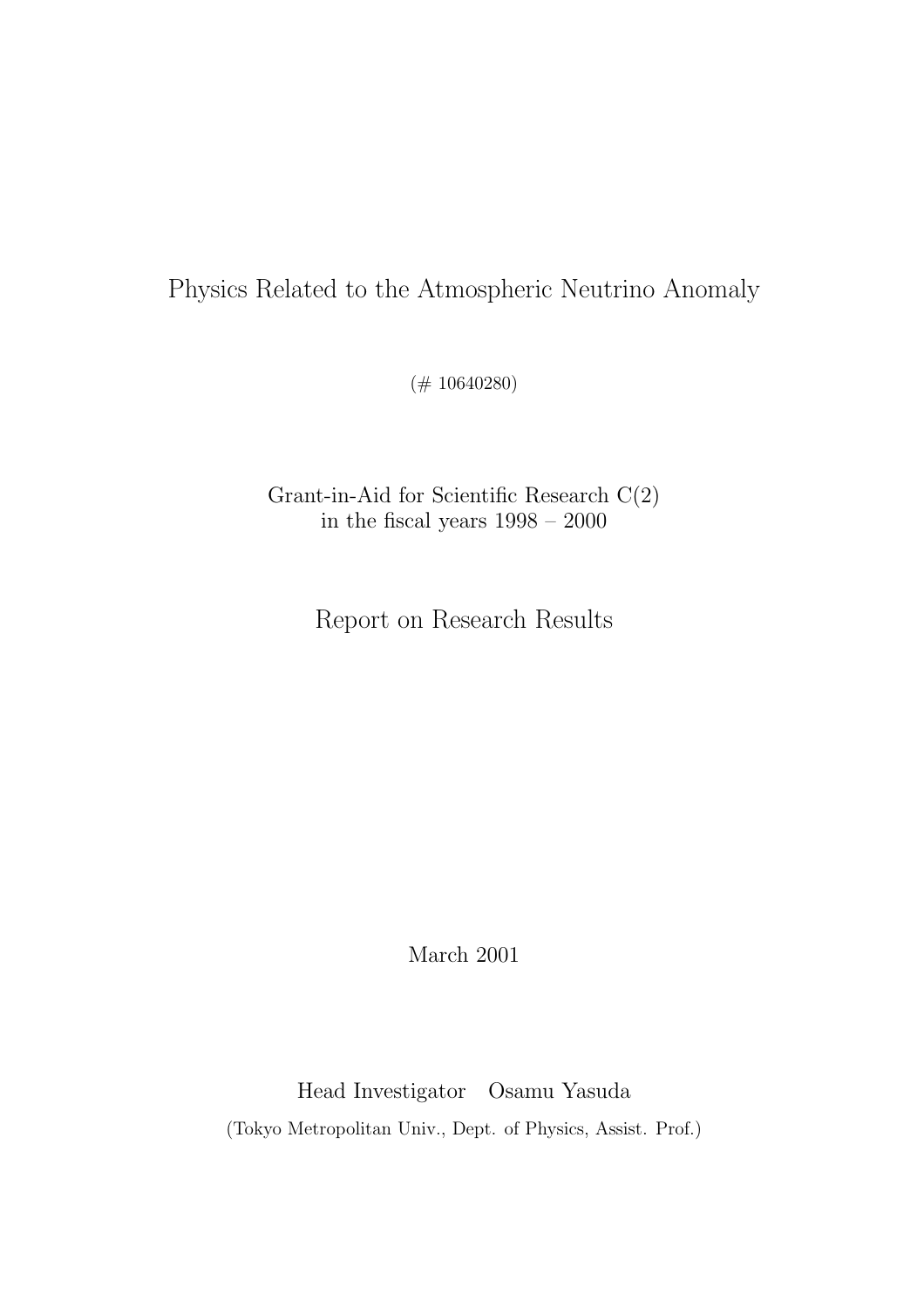# Physics Related to the Atmospheric Neutrino Anomaly

(# 10640280)

Grant-in-Aid for Scientific Research C(2) in the fiscal years 1998 – 2000

Report on Research Results

March 2001

Head Investigator Osamu Yasuda (Tokyo Metropolitan Univ., Dept. of Physics, Assist. Prof.)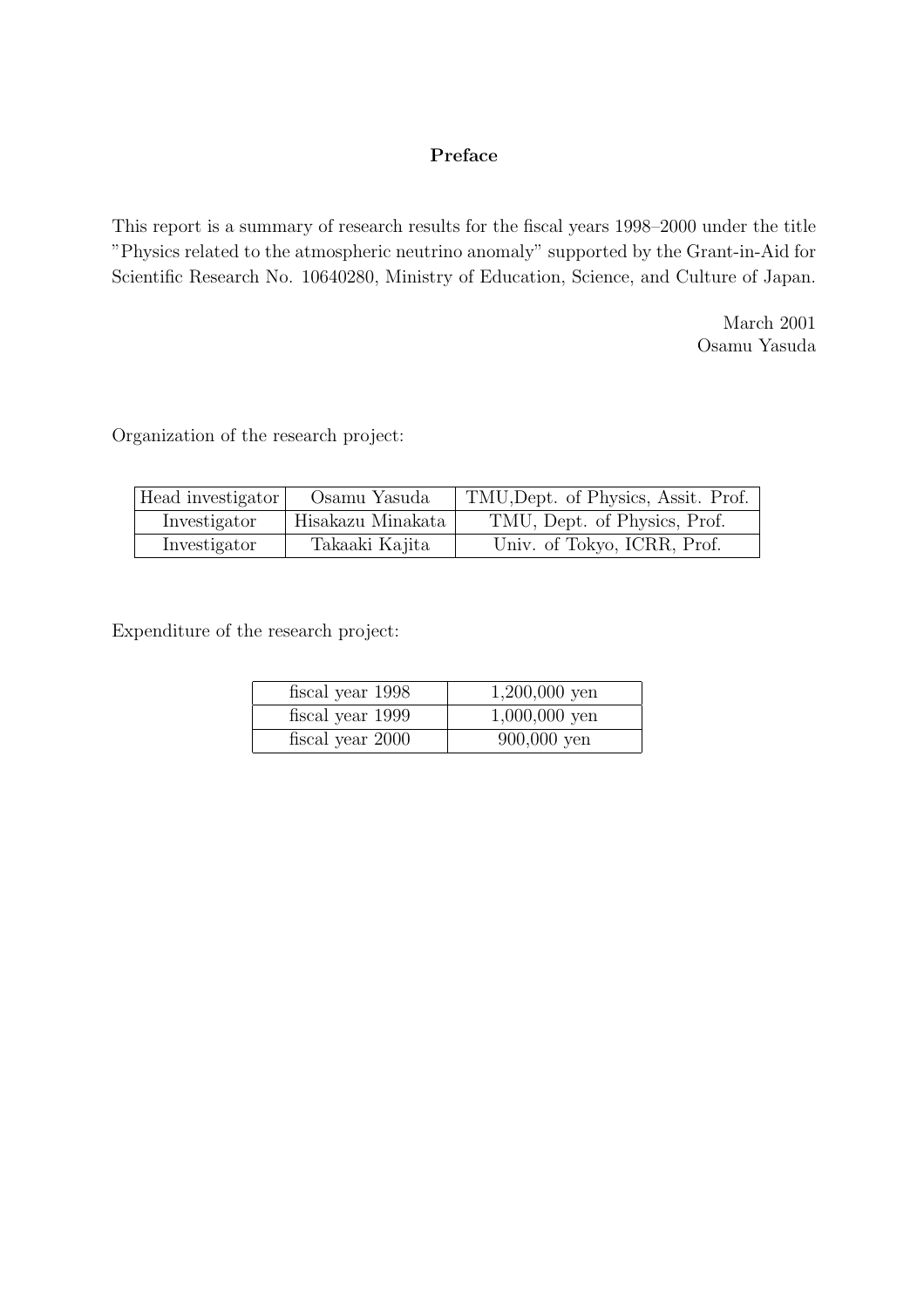# Preface

This report is a summary of research results for the fiscal years 1998–2000 under the title "Physics related to the atmospheric neutrino anomaly" supported by the Grant-in-Aid for Scientific Research No. 10640280, Ministry of Education, Science, and Culture of Japan.

> March 2001 Osamu Yasuda

Organization of the research project:

| Head investigator | Osamu Yasuda      | TMU, Dept. of Physics, Assit. Prof. |
|-------------------|-------------------|-------------------------------------|
| Investigator      | Hisakazu Minakata | TMU, Dept. of Physics, Prof.        |
| Investigator      | Takaaki Kajita    | Univ. of Tokyo, ICRR, Prof.         |

Expenditure of the research project:

| fiscal year 1998 | $1,200,000$ yen |
|------------------|-----------------|
| fiscal year 1999 | $1,000,000$ yen |
| fiscal year 2000 | $900,000$ yen   |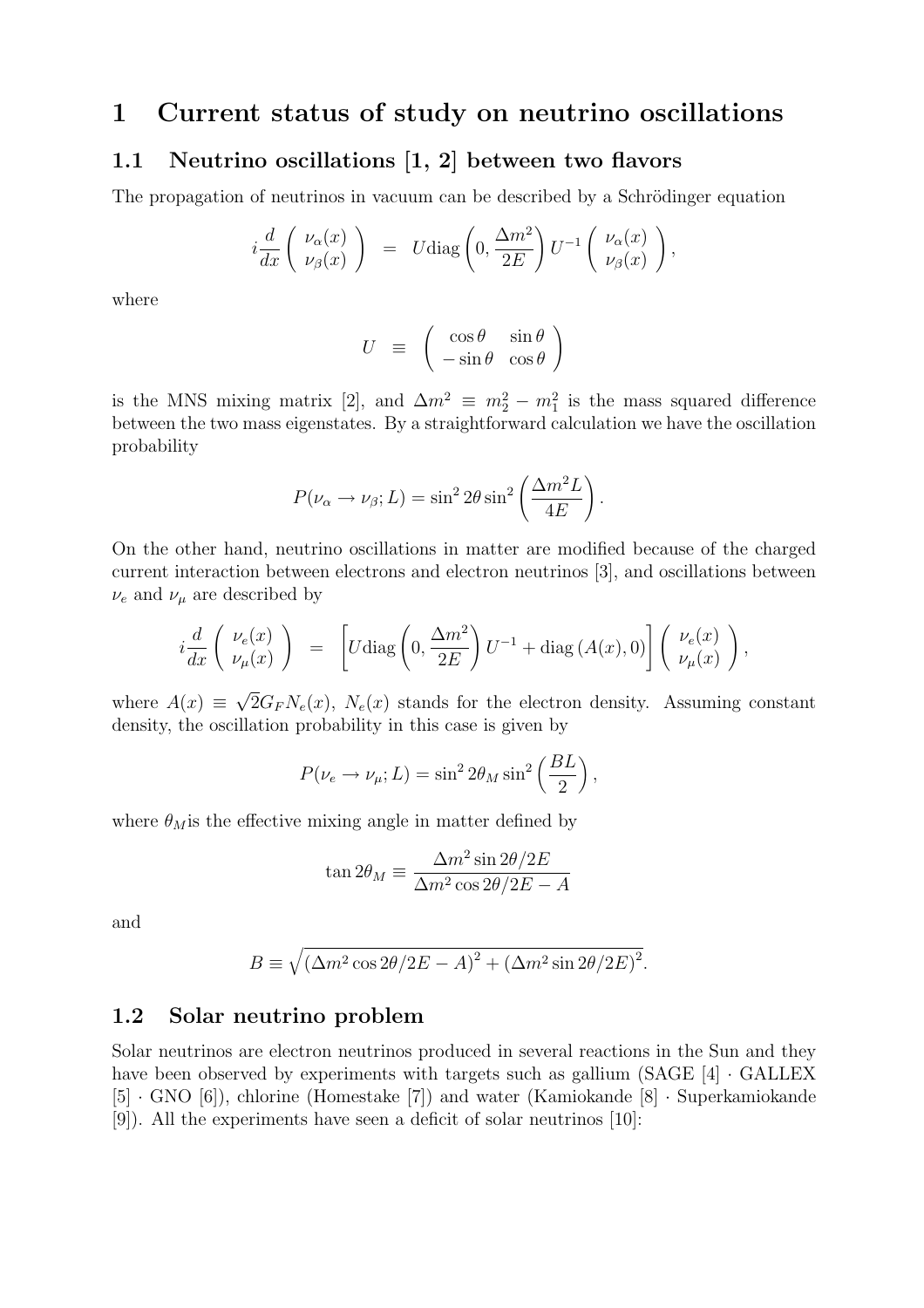# 1 Current status of study on neutrino oscillations

### 1.1 Neutrino oscillations [1, 2] between two flavors

The propagation of neutrinos in vacuum can be described by a Schrödinger equation

$$
i\frac{d}{dx}\begin{pmatrix} \nu_{\alpha}(x) \\ \nu_{\beta}(x) \end{pmatrix} = U \text{diag}\left(0, \frac{\Delta m^2}{2E}\right) U^{-1} \begin{pmatrix} \nu_{\alpha}(x) \\ \nu_{\beta}(x) \end{pmatrix},
$$

where

$$
U \equiv \begin{pmatrix} \cos \theta & \sin \theta \\ -\sin \theta & \cos \theta \end{pmatrix}
$$

is the MNS mixing matrix [2], and  $\Delta m^2 \equiv m_2^2 - m_1^2$  is the mass squared difference between the two mass eigenstates. By a straightforward calculation we have the oscillation probability

$$
P(\nu_{\alpha} \to \nu_{\beta}; L) = \sin^2 2\theta \sin^2 \left(\frac{\Delta m^2 L}{4E}\right).
$$

On the other hand, neutrino oscillations in matter are modified because of the charged current interaction between electrons and electron neutrinos [3], and oscillations between  $\nu_e$  and  $\nu_\mu$  are described by

$$
i\frac{d}{dx}\left(\begin{array}{c} \nu_e(x) \\ \nu_\mu(x) \end{array}\right) = \left[ U \text{diag}\left(0, \frac{\Delta m^2}{2E}\right) U^{-1} + \text{diag}\left(A(x), 0\right) \right] \left(\begin{array}{c} \nu_e(x) \\ \nu_\mu(x) \end{array}\right),
$$

where  $A(x) \equiv \sqrt{2}G_F N_e(x)$ ,  $N_e(x)$  stands for the electron density. Assuming constant density, the oscillation probability in this case is given by

$$
P(\nu_e \to \nu_\mu; L) = \sin^2 2\theta_M \sin^2 \left(\frac{BL}{2}\right),
$$

where  $\theta_M$  is the effective mixing angle in matter defined by

$$
\tan 2\theta_M \equiv \frac{\Delta m^2 \sin 2\theta / 2E}{\Delta m^2 \cos 2\theta / 2E - A}
$$

and

$$
B \equiv \sqrt{\left(\Delta m^2 \cos 2\theta / 2E - A\right)^2 + \left(\Delta m^2 \sin 2\theta / 2E\right)^2}.
$$

#### 1.2 Solar neutrino problem

Solar neutrinos are electron neutrinos produced in several reactions in the Sun and they have been observed by experiments with targets such as gallium (SAGE  $[4] \cdot \text{GALLEX}$ [5] · GNO [6]), chlorine (Homestake [7]) and water (Kamiokande [8] · Superkamiokande [9]). All the experiments have seen a deficit of solar neutrinos [10]: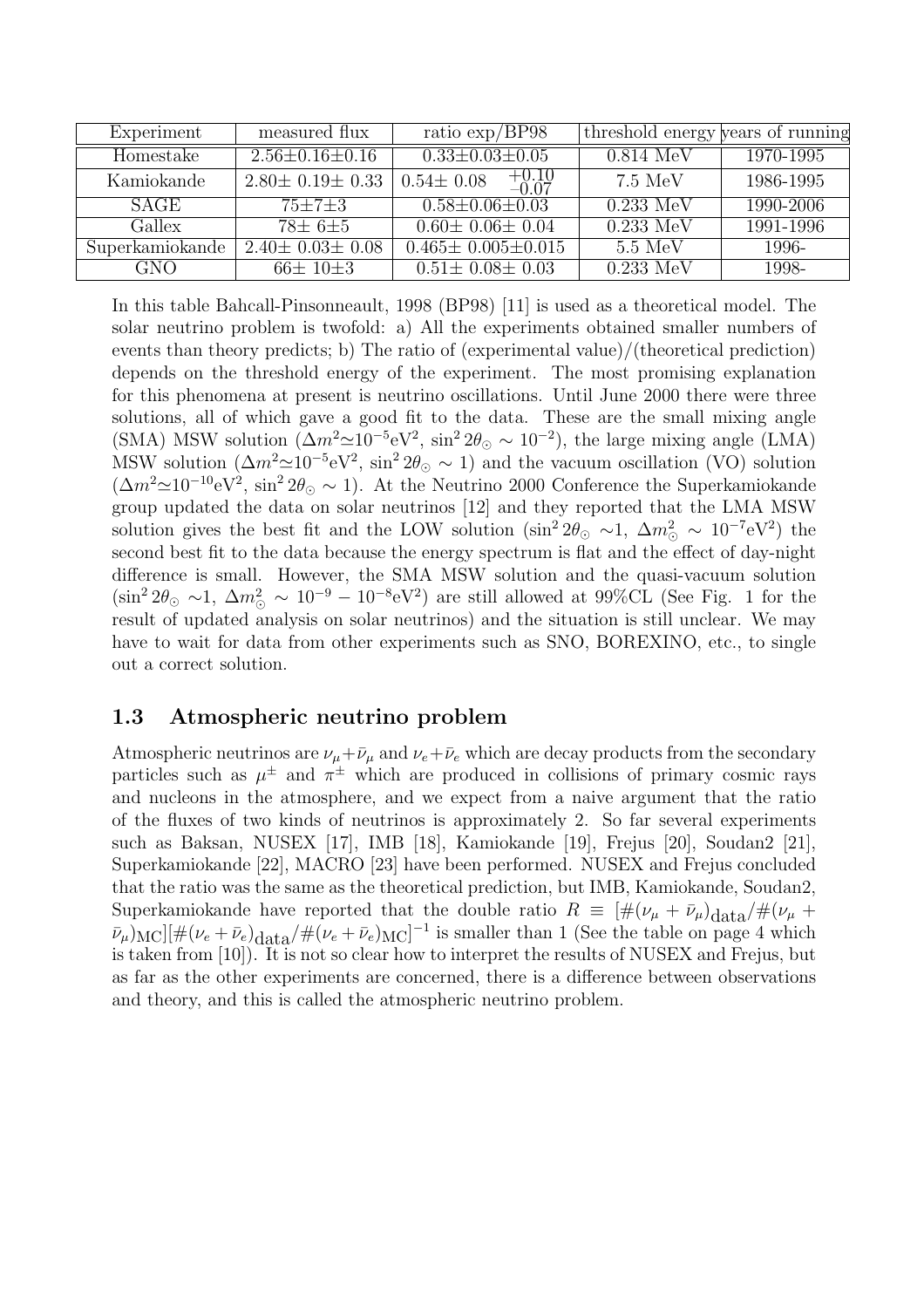| Experiment      | measured flux            | ratio $\exp/BP98$                     | threshold energy years of running |           |
|-----------------|--------------------------|---------------------------------------|-----------------------------------|-----------|
| Homestake       | $2.56 \pm 0.16 \pm 0.16$ | $0.33 \pm 0.03 \pm 0.05$              | $0.814 \text{ MeV}$               | 1970-1995 |
| Kamiokande      | $2.80 \pm 0.19 \pm 0.33$ | $^{+0.10}_{-0.07}$<br>$0.54 \pm 0.08$ | $7.5\;\mathrm{MeV}$               | 1986-1995 |
| <b>SAGE</b>     | $75 \pm 7 \pm 3$         | $0.58 \pm 0.06 \pm 0.03$              | $0.233 \text{ MeV}$               | 1990-2006 |
| <b>Gallex</b>   | $78 \pm 6 \pm 5$         | $0.60 \pm 0.06 \pm 0.04$              | $0.233 \text{ MeV}$               | 1991-1996 |
| Superkamiokande | $2.40 \pm 0.03 \pm 0.08$ | $0.465 \pm 0.005 \pm 0.015$           | $5.5 \text{ MeV}$                 | 1996-     |
| GNO.            | $66 \pm 10 \pm 3$        | $0.51 \pm 0.08 \pm 0.03$              | $0.233 \text{ MeV}$               | 1998-     |

In this table Bahcall-Pinsonneault, 1998 (BP98) [11] is used as a theoretical model. The solar neutrino problem is twofold: a) All the experiments obtained smaller numbers of events than theory predicts; b) The ratio of (experimental value)/(theoretical prediction) depends on the threshold energy of the experiment. The most promising explanation for this phenomena at present is neutrino oscillations. Until June 2000 there were three solutions, all of which gave a good fit to the data. These are the small mixing angle (SMA) MSW solution  $(\Delta m^2 \simeq 10^{-5} \text{eV}^2, \sin^2 2\theta_\odot \sim 10^{-2})$ , the large mixing angle (LMA) MSW solution  $(\Delta m^2 \simeq 10^{-5} \text{eV}^2, \sin^2 2\theta_{\odot} \sim 1)$  and the vacuum oscillation (VO) solution  $(\Delta m^2 \simeq 10^{-10} \text{eV}^2, \sin^2 2\theta_\odot \sim 1)$ . At the Neutrino 2000 Conference the Superkamiokande group updated the data on solar neutrinos [12] and they reported that the LMA MSW solution gives the best fit and the LOW solution (sin<sup>2</sup> 2 $\theta_{\odot} \sim 1$ ,  $\Delta m_{\odot}^2 \sim 10^{-7}$ eV<sup>2</sup>) the second best fit to the data because the energy spectrum is flat and the effect of day-night difference is small. However, the SMA MSW solution and the quasi-vacuum solution  $(\sin^2 2\theta_{\odot} \sim 1, \ \Delta m_{\odot}^2 \sim 10^{-9} - 10^{-8} \text{eV}^2)$  are still allowed at 99%CL (See Fig. 1 for the result of updated analysis on solar neutrinos) and the situation is still unclear. We may have to wait for data from other experiments such as SNO, BOREXINO, etc., to single out a correct solution.

# 1.3 Atmospheric neutrino problem

Atmospheric neutrinos are  $\nu_{\mu}+\bar{\nu}_{\mu}$  and  $\nu_{e}+\bar{\nu}_{e}$  which are decay products from the secondary particles such as  $\mu^{\pm}$  and  $\pi^{\pm}$  which are produced in collisions of primary cosmic rays and nucleons in the atmosphere, and we expect from a naive argument that the ratio of the fluxes of two kinds of neutrinos is approximately 2. So far several experiments such as Baksan, NUSEX [17], IMB [18], Kamiokande [19], Frejus [20], Soudan2 [21], Superkamiokande [22], MACRO [23] have been performed. NUSEX and Frejus concluded that the ratio was the same as the theoretical prediction, but IMB, Kamiokande, Soudan2, Superkamiokande have reported that the double ratio  $R = [\#(\nu_{\mu} + \bar{\nu}_{\mu})_{\text{data}}/\#(\nu_{\mu} + \bar{\nu}_{\mu})_{\text{data}}]$  $(\bar{\nu}_{\mu})_{\text{MC}}$   $[\#(\nu_e + \bar{\nu}_e)_{\text{data}}/\#(\nu_e + \bar{\nu}_e)_{\text{MC}}]^{-1}$  is smaller than 1 (See the table on page 4 which is taken from  $[10]$ ). It is not so clear how to interpret the results of NUSEX and Frejus, but as far as the other experiments are concerned, there is a difference between observations and theory, and this is called the atmospheric neutrino problem.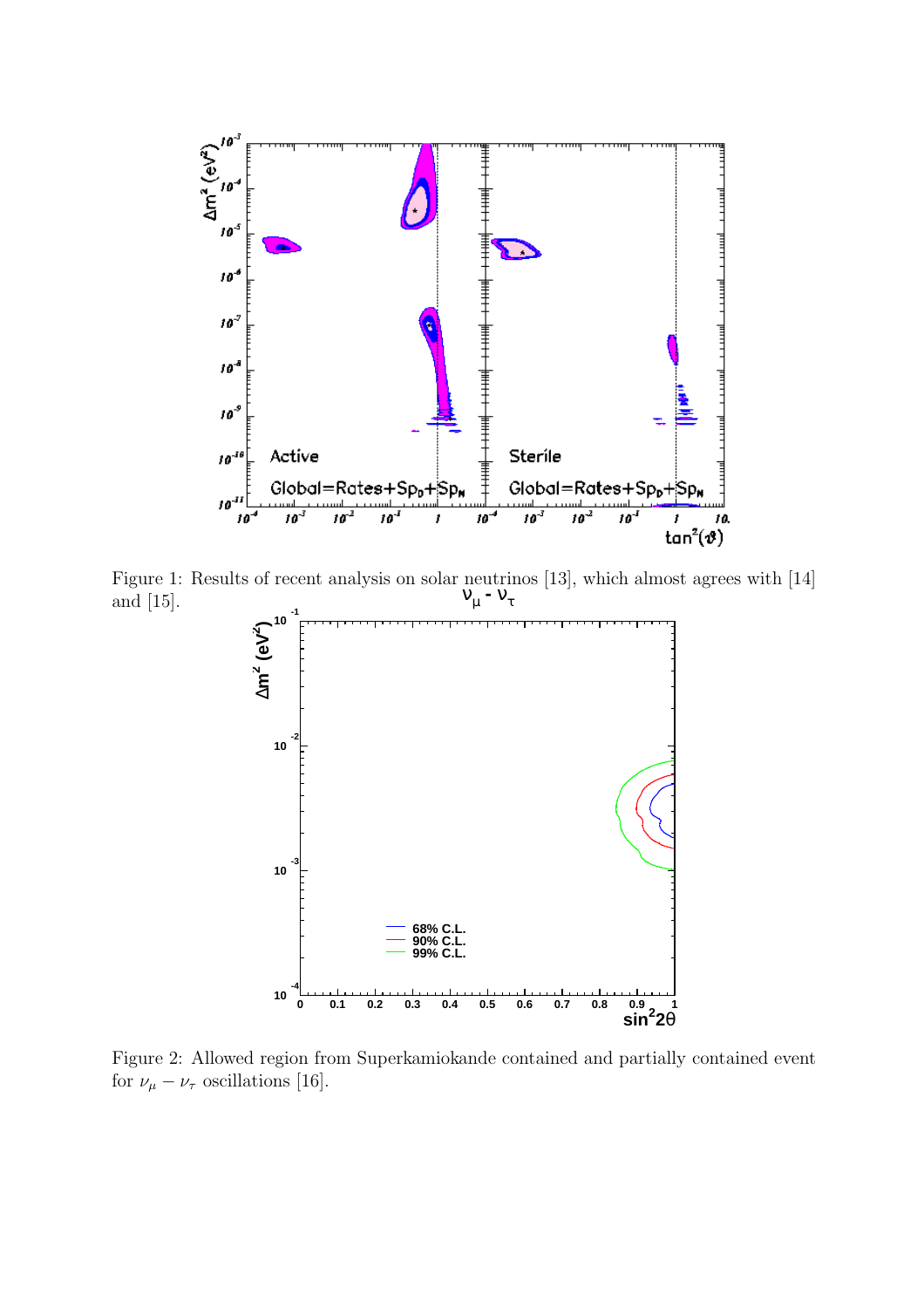

Figure 1: Results of recent analysis on solar neutrinos [13], which almost agrees with [14] and [15].  $v_{\mu} - v_{\tau}$ 



Figure 2: Allowed region from Superkamiokande contained and partially contained event for  $\nu_{\mu} - \nu_{\tau}$  oscillations [16].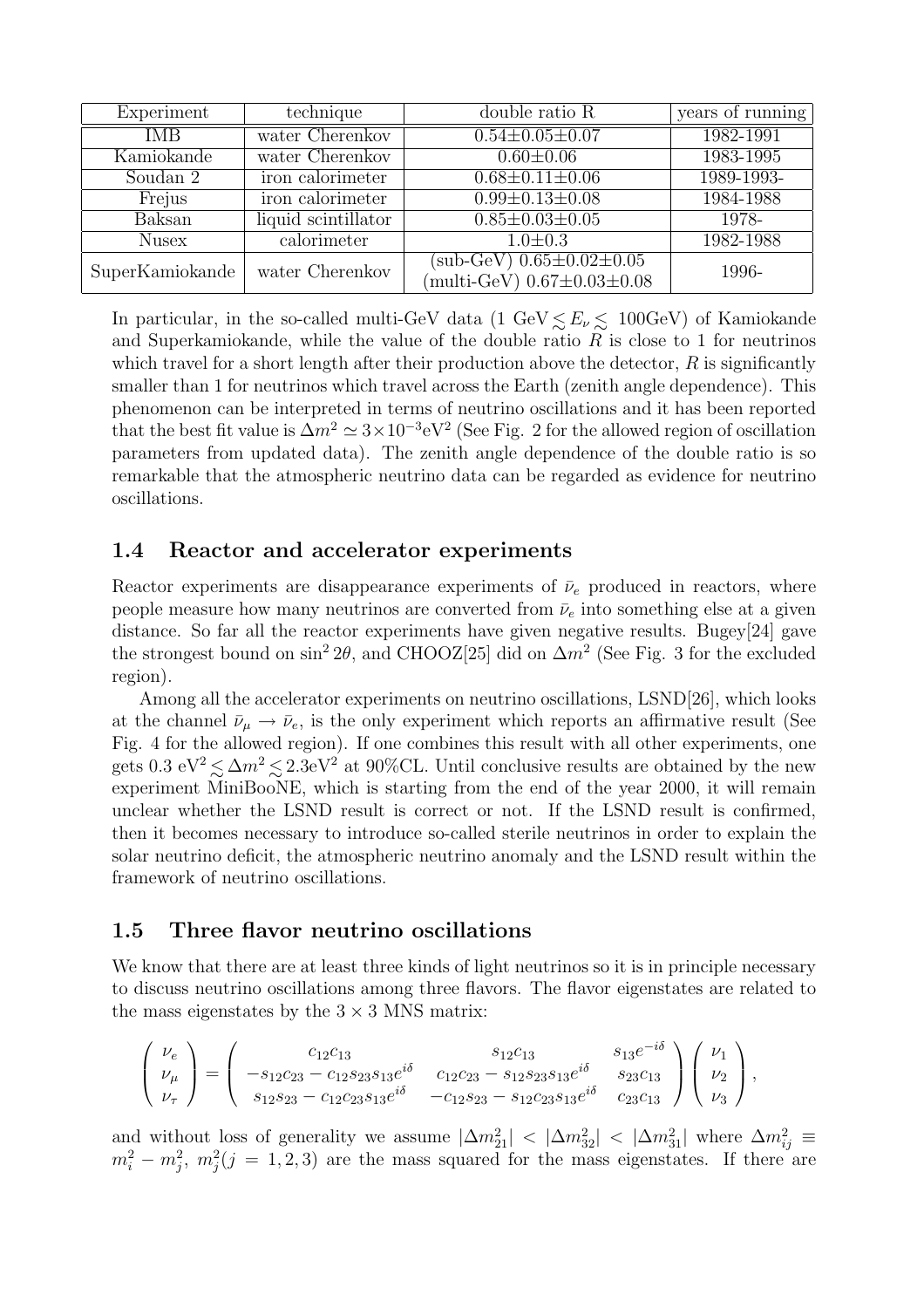| Experiment      | technique           | double ratio R                                                                 | years of running |
|-----------------|---------------------|--------------------------------------------------------------------------------|------------------|
| <b>IMB</b>      | water Cherenkov     | $0.54 \pm 0.05 \pm 0.07$                                                       | 1982-1991        |
| Kamiokande      | water Cherenkov     | $0.60 \pm 0.06$                                                                | 1983-1995        |
| Soudan 2        | iron calorimeter    | $0.68 \pm 0.11 \pm 0.06$                                                       | 1989-1993-       |
| Frejus          | iron calorimeter    | $0.99 \pm 0.13 \pm 0.08$                                                       | 1984-1988        |
| Baksan          | liquid scintillator | $0.85 \pm 0.03 \pm 0.05$                                                       | 1978-            |
| <b>Nusex</b>    | calorimeter         | $1.0 \pm 0.3$                                                                  | 1982-1988        |
| SuperKamiokande | water Cherenkov     | $(sub-GeV)$ 0.65 $\pm$ 0.02 $\pm$ 0.05<br>(multi-GeV) $0.67 \pm 0.03 \pm 0.08$ | 1996-            |

In particular, in the so-called multi-GeV data (1 GeV $\lesssim E_{\nu} \lesssim 100 \text{GeV}$ ) of Kamiokande<br>and Superkamiokande while the value of the double ratio R is close to 1 for pourrince and Superkamiokande, while the value of the double ratio  $R$  is close to 1 for neutrinos which travel for a short length after their production above the detector,  $R$  is significantly smaller than 1 for neutrinos which travel across the Earth (zenith angle dependence). This phenomenon can be interpreted in terms of neutrino oscillations and it has been reported that the best fit value is  $\Delta m^2 \simeq 3 \times 10^{-3} \text{eV}^2$  (See Fig. 2 for the allowed region of oscillation parameters from updated data). The zenith angle dependence of the double ratio is so remarkable that the atmospheric neutrino data can be regarded as evidence for neutrino oscillations.

# 1.4 Reactor and accelerator experiments

Reactor experiments are disappearance experiments of  $\bar{\nu}_e$  produced in reactors, where people measure how many neutrinos are converted from  $\bar{\nu}_e$  into something else at a given distance. So far all the reactor experiments have given negative results. Bugey[24] gave the strongest bound on sin<sup>2</sup> 2 $\theta$ , and CHOOZ[25] did on  $\Delta m^2$  (See Fig. 3 for the excluded region).

Among all the accelerator experiments on neutrino oscillations, LSND[26], which looks at the channel  $\bar{\nu}_u \rightarrow \bar{\nu}_e$ , is the only experiment which reports an affirmative result (See Fig. 4 for the allowed region). If one combines this result with all other experiments, one gets  $0.3 \text{ eV}^2 \leq \Delta m^2 \leq 2.3 \text{ eV}^2$  at 90%CL. Until conclusive results are obtained by the new experiment MiniBooNE, which is starting from the end of the year 2000, it will remain unclear whether the LSND result is correct or not. If the LSND result is confirmed, then it becomes necessary to introduce so-called sterile neutrinos in order to explain the solar neutrino deficit, the atmospheric neutrino anomaly and the LSND result within the framework of neutrino oscillations.

# 1.5 Three flavor neutrino oscillations

We know that there are at least three kinds of light neutrinos so it is in principle necessary to discuss neutrino oscillations among three flavors. The flavor eigenstates are related to the mass eigenstates by the  $3 \times 3$  MNS matrix:

$$
\begin{pmatrix}\n\nu_e \\
\nu_\mu \\
\nu_\tau\n\end{pmatrix} = \begin{pmatrix}\n c_{12}c_{13} & s_{12}c_{13} & s_{13}e^{-i\delta} \\
-s_{12}c_{23} - c_{12}s_{23}s_{13}e^{i\delta} & c_{12}c_{23} - s_{12}s_{23}s_{13}e^{i\delta} & s_{23}c_{13} \\
s_{12}s_{23} - c_{12}c_{23}s_{13}e^{i\delta} & -c_{12}s_{23} - s_{12}c_{23}s_{13}e^{i\delta} & c_{23}c_{13}\n\end{pmatrix} \begin{pmatrix}\n\nu_1 \\
\nu_2 \\
\nu_3\n\end{pmatrix},
$$

and without loss of generality we assume  $|\Delta m_{21}^2|$  <  $|\Delta m_{32}^2|$  <  $|\Delta m_{31}^2|$  where  $\Delta m_{ij}^2$  =  $m_i^2 - m_j^2$ ,  $m_j^2(j = 1, 2, 3)$  are the mass squared for the mass eigenstates. If there are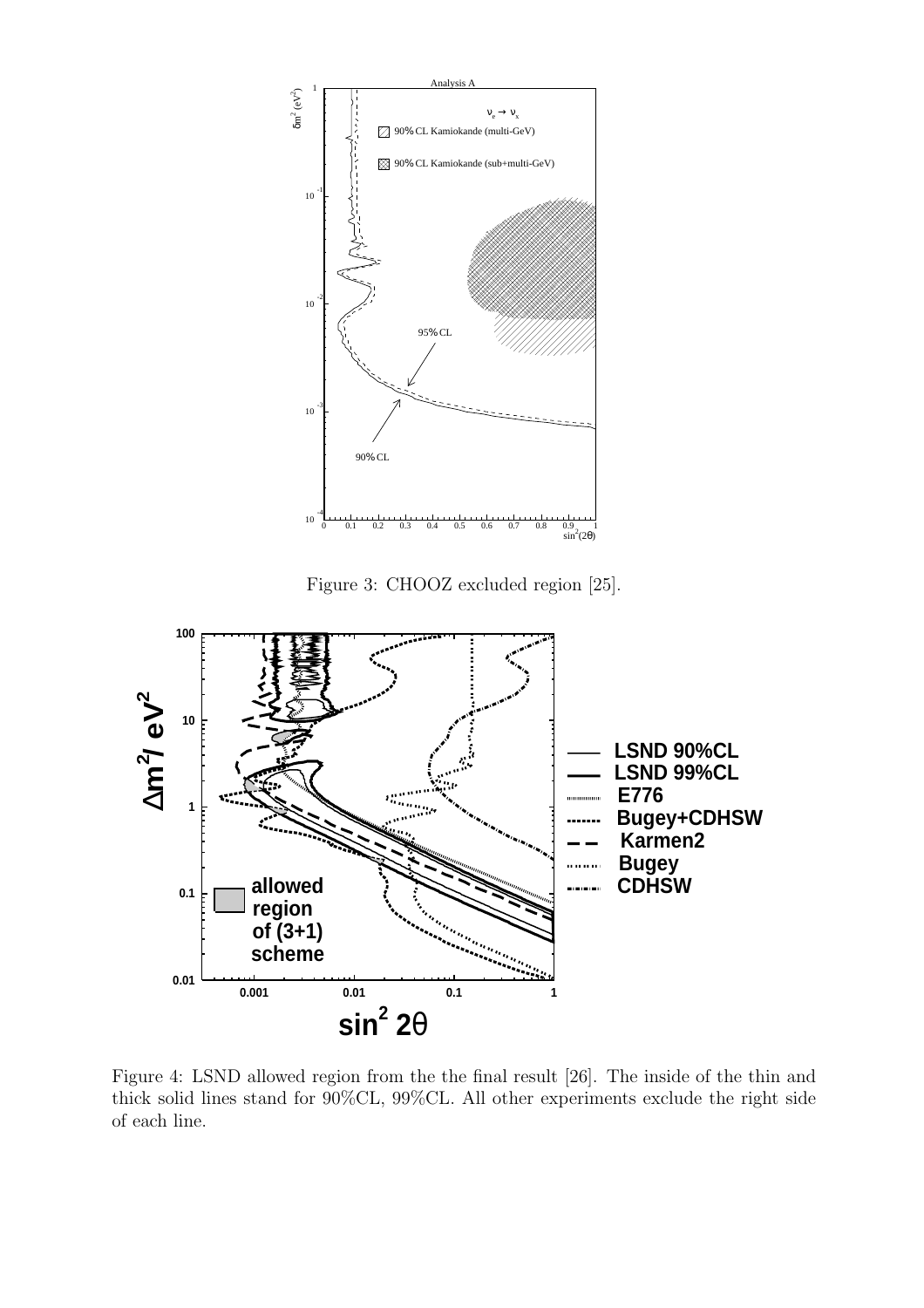

Figure 3: CHOOZ excluded region [25].



Figure 4: LSND allowed region from the the final result [26]. The inside of the thin and thick solid lines stand for 90%CL, 99%CL. All other experiments exclude the right side of each line.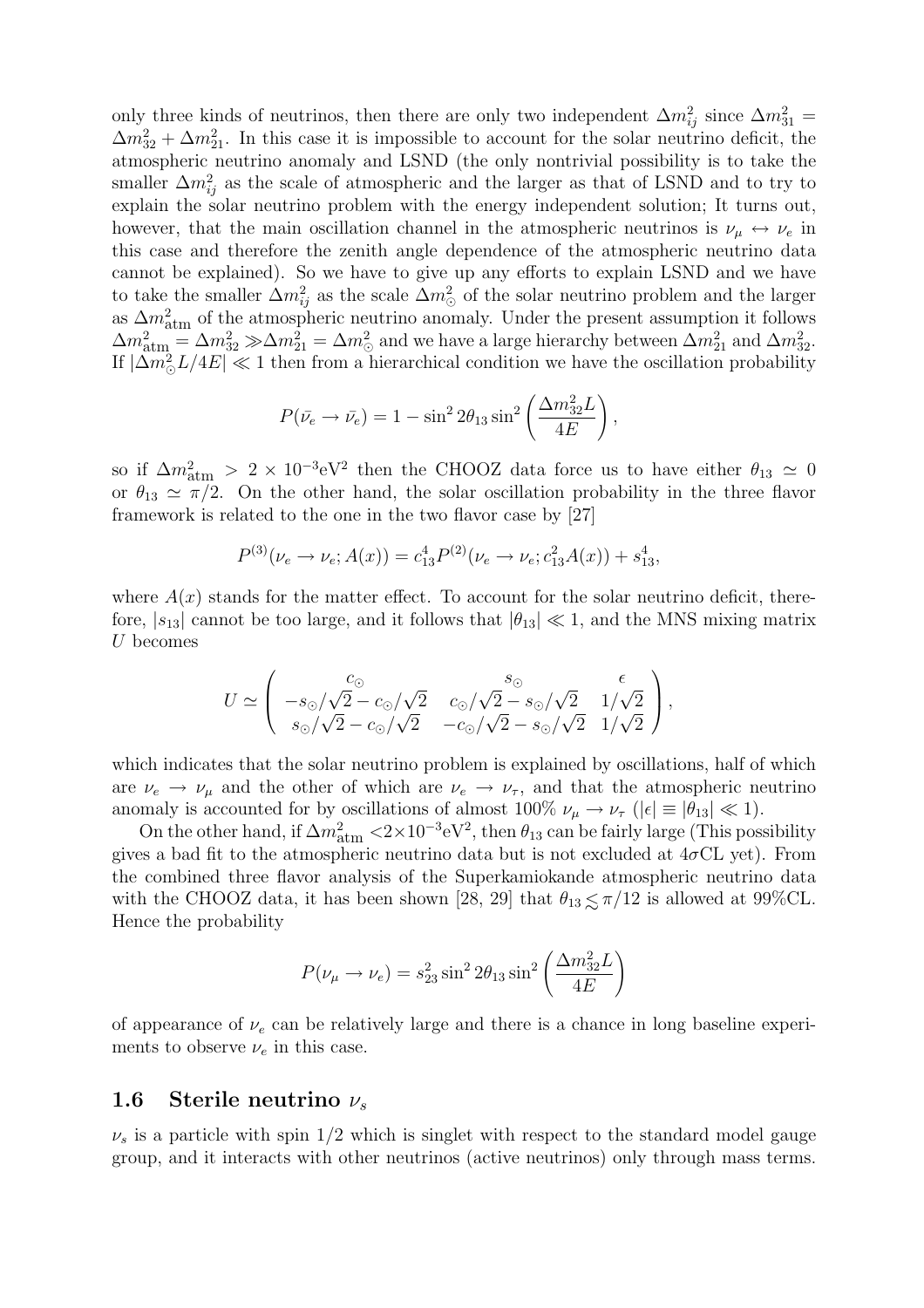only three kinds of neutrinos, then there are only two independent  $\Delta m_{ij}^2$  since  $\Delta m_{31}^2 =$  $\Delta m_{32}^2 + \Delta m_{21}^2$ . In this case it is impossible to account for the solar neutrino deficit, the atmospheric neutrino anomaly and LSND (the only nontrivial possibility is to take the smaller  $\Delta m_{ij}^2$  as the scale of atmospheric and the larger as that of LSND and to try to explain the solar neutrino problem with the energy independent solution; It turns out, however, that the main oscillation channel in the atmospheric neutrinos is  $\nu_{\mu} \leftrightarrow \nu_{e}$  in this case and therefore the zenith angle dependence of the atmospheric neutrino data cannot be explained). So we have to give up any efforts to explain LSND and we have to take the smaller  $\Delta m_{ij}^2$  as the scale  $\Delta m_{\odot}^2$  of the solar neutrino problem and the larger as  $\Delta m_{\text{atm}}^2$  of the atmospheric neutrino anomaly. Under the present assumption it follows  $\Delta m_{\text{atm}}^2 = \Delta m_{32}^2 \gg \Delta m_{21}^2 = \Delta m_{\odot}^2$  and we have a large hierarchy between  $\Delta m_{21}^2$  and  $\Delta m_{32}^2$ . If  $|\Delta m_{\odot}^2 L/4E| \ll 1$  then from a hierarchical condition we have the oscillation probability

$$
P(\bar{\nu_e} \rightarrow \bar{\nu_e}) = 1 - \sin^2 2\theta_{13} \sin^2 \left(\frac{\Delta m_{32}^2 L}{4E}\right),
$$

so if  $\Delta m_{\text{atm}}^2 > 2 \times 10^{-3} \text{eV}^2$  then the CHOOZ data force us to have either  $\theta_{13} \simeq 0$ or  $\theta_{13} \simeq \pi/2$ . On the other hand, the solar oscillation probability in the three flavor framework is related to the one in the two flavor case by [27]

$$
P^{(3)}(\nu_e \to \nu_e; A(x)) = c_{13}^4 P^{(2)}(\nu_e \to \nu_e; c_{13}^2 A(x)) + s_{13}^4,
$$

where  $A(x)$  stands for the matter effect. To account for the solar neutrino deficit, therefore,  $|s_{13}|$  cannot be too large, and it follows that  $|\theta_{13}| \ll 1$ , and the MNS mixing matrix U becomes

$$
U \simeq \begin{pmatrix} c_{\odot} & s_{\odot} & \epsilon \\ -s_{\odot}/\sqrt{2} - c_{\odot}/\sqrt{2} & c_{\odot}/\sqrt{2} - s_{\odot}/\sqrt{2} & 1/\sqrt{2} \\ s_{\odot}/\sqrt{2} - c_{\odot}/\sqrt{2} & -c_{\odot}/\sqrt{2} - s_{\odot}/\sqrt{2} & 1/\sqrt{2} \end{pmatrix},
$$

which indicates that the solar neutrino problem is explained by oscillations, half of which are  $\nu_e \rightarrow \nu_\mu$  and the other of which are  $\nu_e \rightarrow \nu_\tau$ , and that the atmospheric neutrino anomaly is accounted for by oscillations of almost  $100\% \nu_\mu \rightarrow \nu_\tau$  ( $|\epsilon| \equiv |\theta_{13}| \ll 1$ ).

On the other hand, if  $\Delta m_{\text{atm}}^2 < 2 \times 10^{-3} \text{eV}^2$ , then  $\theta_{13}$  can be fairly large (This possibility gives a bad fit to the atmospheric neutrino data but is not excluded at  $4\sigma CL$  yet). From the combined three flavor analysis of the Superkamiokande atmospheric neutrino data with the CHOOZ data, it has been shown [28, 29] that  $\theta_{13} \lesssim \pi/12$  is allowed at 99%CL.<br>Hence the probability Hence the probability

$$
P(\nu_{\mu} \to \nu_e) = s_{23}^2 \sin^2 2\theta_{13} \sin^2 \left(\frac{\Delta m_{32}^2 L}{4E}\right)
$$

of appearance of  $\nu_e$  can be relatively large and there is a chance in long baseline experiments to observe  $\nu_e$  in this case.

#### 1.6 Sterile neutrino  $\nu_s$

 $\nu_s$  is a particle with spin 1/2 which is singlet with respect to the standard model gauge group, and it interacts with other neutrinos (active neutrinos) only through mass terms.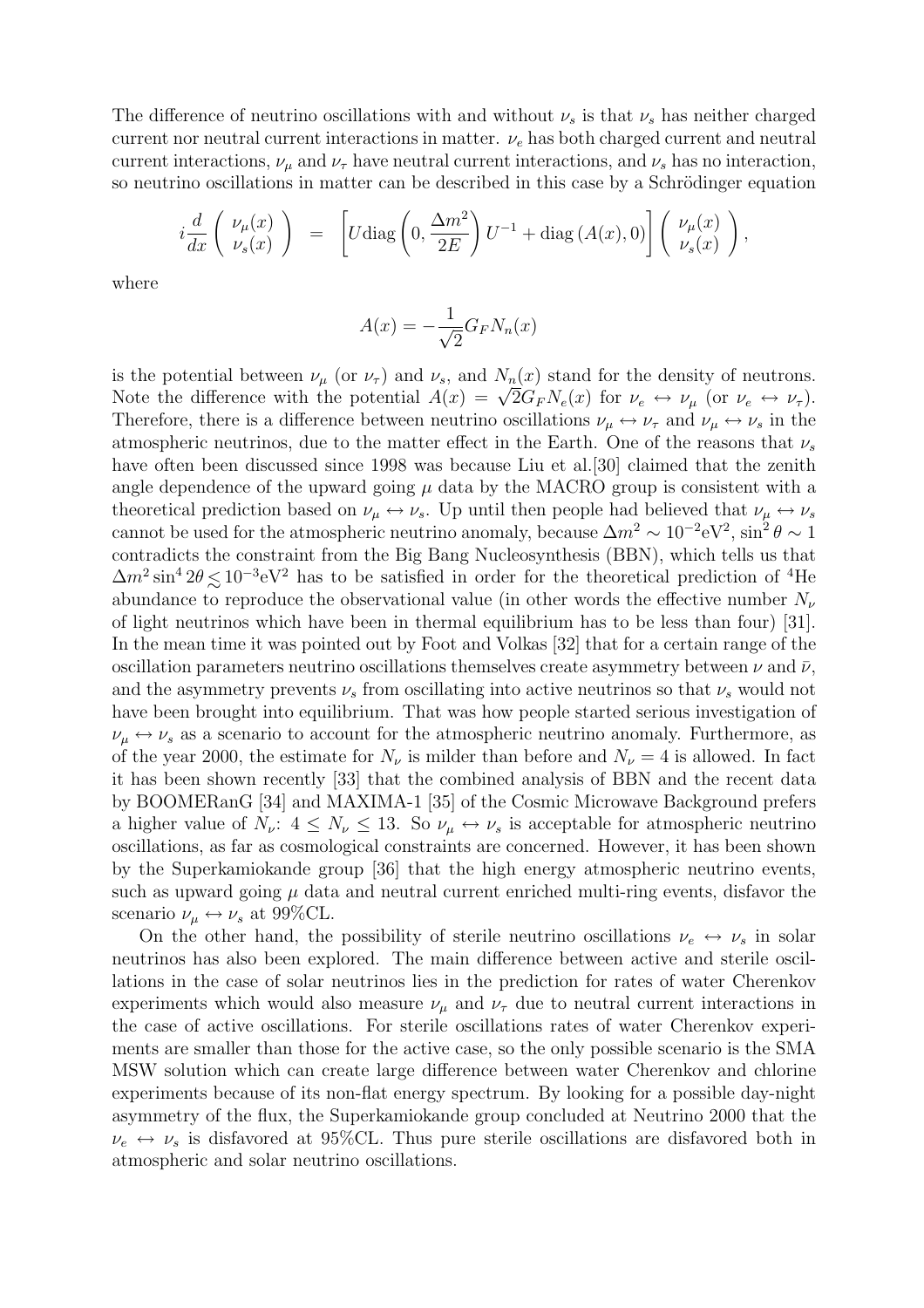The difference of neutrino oscillations with and without  $\nu_s$  is that  $\nu_s$  has neither charged current nor neutral current interactions in matter.  $\nu_e$  has both charged current and neutral current interactions,  $\nu_{\mu}$  and  $\nu_{\tau}$  have neutral current interactions, and  $\nu_{s}$  has no interaction, so neutrino oscillations in matter can be described in this case by a Schrödinger equation

$$
i\frac{d}{dx}\left(\begin{array}{c}\nu_{\mu}(x)\\ \nu_{s}(x)\end{array}\right) = \left[ U \text{diag}\left(0, \frac{\Delta m^2}{2E}\right) U^{-1} + \text{diag}\left(A(x), 0\right) \right] \left(\begin{array}{c}\nu_{\mu}(x)\\ \nu_{s}(x)\end{array}\right),
$$

where

$$
A(x) = -\frac{1}{\sqrt{2}} G_F N_n(x)
$$

is the potential between  $\nu_{\mu}$  (or  $\nu_{\tau}$ ) and  $\nu_{s}$ , and  $N_{n}(x)$  stand for the density of neutrons. Note the difference with the potential  $A(x) = \sqrt{2}G_F N_e(x)$  for  $\nu_e \leftrightarrow \nu_\mu$  (or  $\nu_e \leftrightarrow \nu_\tau$ ). Therefore, there is a difference between neutrino oscillations  $\nu_\mu \leftrightarrow \nu_\tau$  and  $\nu_\mu \leftrightarrow \nu_s$  in the atmospheric neutrinos, due to the matter effect in the Earth. One of the reasons that  $\nu_s$ have often been discussed since 1998 was because Liu et al.[30] claimed that the zenith angle dependence of the upward going  $\mu$  data by the MACRO group is consistent with a theoretical prediction based on  $\nu_\mu \leftrightarrow \nu_s$ . Up until then people had believed that  $\nu_\mu \leftrightarrow \nu_s$ cannot be used for the atmospheric neutrino anomaly, because  $\Delta m^2 \sim 10^{-2} \text{eV}^2$ ,  $\sin^2 \theta \sim 1$ contradicts the constraint from the Big Bang Nucleosynthesis (BBN), which tells us that  $\Delta m^2 \sin^4 2\theta \lesssim 10^{-3} \text{eV}^2$  has to be satisfied in order for the theoretical prediction of <sup>4</sup>He<br>abundance to reproduce the observational value (in other words the effective number N abundance to reproduce the observational value (in other words the effective number  $N_{\nu}$ of light neutrinos which have been in thermal equilibrium has to be less than four) [31]. In the mean time it was pointed out by Foot and Volkas [32] that for a certain range of the oscillation parameters neutrino oscillations themselves create asymmetry between  $\nu$  and  $\bar{\nu}$ , and the asymmetry prevents  $\nu_s$  from oscillating into active neutrinos so that  $\nu_s$  would not have been brought into equilibrium. That was how people started serious investigation of  $\nu_{\mu} \leftrightarrow \nu_{s}$  as a scenario to account for the atmospheric neutrino anomaly. Furthermore, as of the year 2000, the estimate for  $N_{\nu}$  is milder than before and  $N_{\nu} = 4$  is allowed. In fact it has been shown recently [33] that the combined analysis of BBN and the recent data by BOOMERanG [34] and MAXIMA-1 [35] of the Cosmic Microwave Background prefers a higher value of  $N_{\nu}$ :  $4 \leq N_{\nu} \leq 13$ . So  $\nu_{\mu} \leftrightarrow \nu_{s}$  is acceptable for atmospheric neutrino oscillations, as far as cosmological constraints are concerned. However, it has been shown by the Superkamiokande group [36] that the high energy atmospheric neutrino events, such as upward going  $\mu$  data and neutral current enriched multi-ring events, disfavor the scenario  $\nu_{\mu} \leftrightarrow \nu_{s}$  at 99%CL.

On the other hand, the possibility of sterile neutrino oscillations  $\nu_e \leftrightarrow \nu_s$  in solar neutrinos has also been explored. The main difference between active and sterile oscillations in the case of solar neutrinos lies in the prediction for rates of water Cherenkov experiments which would also measure  $\nu_{\mu}$  and  $\nu_{\tau}$  due to neutral current interactions in the case of active oscillations. For sterile oscillations rates of water Cherenkov experiments are smaller than those for the active case, so the only possible scenario is the SMA MSW solution which can create large difference between water Cherenkov and chlorine experiments because of its non-flat energy spectrum. By looking for a possible day-night asymmetry of the flux, the Superkamiokande group concluded at Neutrino 2000 that the  $\nu_e \leftrightarrow \nu_s$  is disfavored at 95%CL. Thus pure sterile oscillations are disfavored both in atmospheric and solar neutrino oscillations.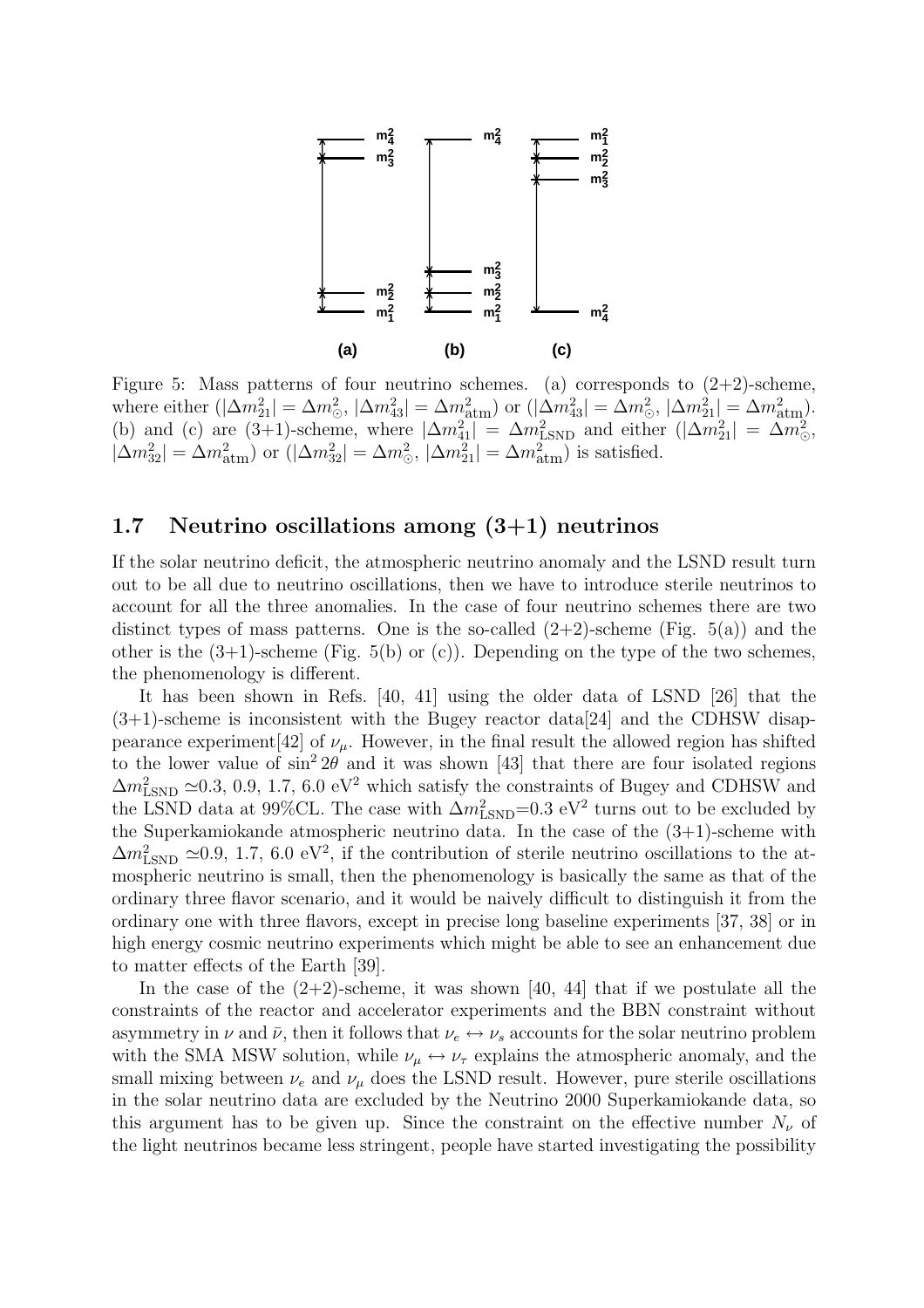

Figure 5: Mass patterns of four neutrino schemes. (a) corresponds to  $(2+2)$ -scheme, where either  $(|\Delta m_{21}^2| = \Delta m_{\odot}^2, |\Delta m_{43}^2| = \Delta m_{\text{atm}}^2)$  or  $(|\Delta m_{43}^2| = \Delta m_{\odot}^2, |\Delta m_{21}^2| = \Delta m_{\text{atm}}^2)$ . (b) and (c) are (3+1)-scheme, where  $|\Delta m_{41}^2| = \Delta m_{\text{LSND}}^2$  and either  $(|\Delta m_{21}^2| = \Delta m_{\odot}^2)$ ,  $|\Delta m_{32}^2| = \Delta m_{\text{atm}}^2$ ) or  $(|\Delta m_{32}^2| = \Delta m_{\odot}^2, |\Delta m_{21}^2| = \Delta m_{\text{atm}}^2)$  is satisfied.

#### 1.7 Neutrino oscillations among (3+1) neutrinos

If the solar neutrino deficit, the atmospheric neutrino anomaly and the LSND result turn out to be all due to neutrino oscillations, then we have to introduce sterile neutrinos to account for all the three anomalies. In the case of four neutrino schemes there are two distinct types of mass patterns. One is the so-called  $(2+2)$ -scheme (Fig. 5(a)) and the other is the  $(3+1)$ -scheme (Fig. 5(b) or (c)). Depending on the type of the two schemes, the phenomenology is different.

It has been shown in Refs. [40, 41] using the older data of LSND [26] that the  $(3+1)$ -scheme is inconsistent with the Bugey reactor data [24] and the CDHSW disappearance experiment [42] of  $\nu_{\mu}$ . However, in the final result the allowed region has shifted to the lower value of  $\sin^2 2\theta$  and it was shown [43] that there are four isolated regions  $\Delta m_{\rm LSND}^2 \simeq 0.3, 0.9, 1.7, 6.0 \text{ eV}^2$  which satisfy the constraints of Bugey and CDHSW and the LSND data at 99%CL. The case with  $\Delta m^2_{\rm LSND}$ =0.3 eV<sup>2</sup> turns out to be excluded by the Superkamiokande atmospheric neutrino data. In the case of the (3+1)-scheme with  $\Delta m_{\rm LSND}^2 \simeq 0.9, 1.7, 6.0 \text{ eV}^2$ , if the contribution of sterile neutrino oscillations to the atmospheric neutrino is small, then the phenomenology is basically the same as that of the ordinary three flavor scenario, and it would be naively difficult to distinguish it from the ordinary one with three flavors, except in precise long baseline experiments [37, 38] or in high energy cosmic neutrino experiments which might be able to see an enhancement due to matter effects of the Earth [39].

In the case of the  $(2+2)$ -scheme, it was shown [40, 44] that if we postulate all the constraints of the reactor and accelerator experiments and the BBN constraint without asymmetry in  $\nu$  and  $\bar{\nu}$ , then it follows that  $\nu_e \leftrightarrow \nu_s$  accounts for the solar neutrino problem with the SMA MSW solution, while  $\nu_{\mu} \leftrightarrow \nu_{\tau}$  explains the atmospheric anomaly, and the small mixing between  $\nu_e$  and  $\nu_\mu$  does the LSND result. However, pure sterile oscillations in the solar neutrino data are excluded by the Neutrino 2000 Superkamiokande data, so this argument has to be given up. Since the constraint on the effective number  $N_{\nu}$  of the light neutrinos became less stringent, people have started investigating the possibility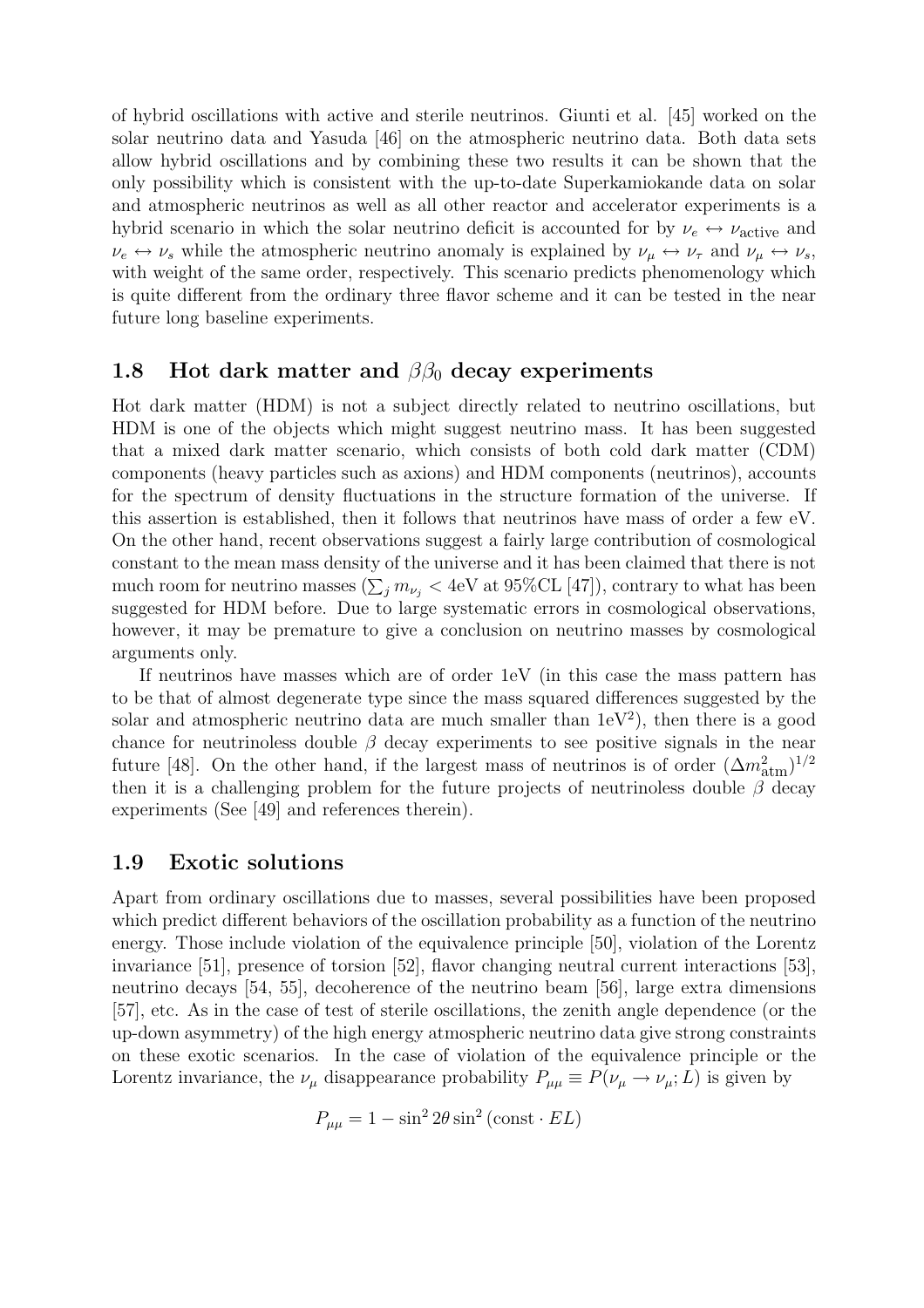of hybrid oscillations with active and sterile neutrinos. Giunti et al. [45] worked on the solar neutrino data and Yasuda [46] on the atmospheric neutrino data. Both data sets allow hybrid oscillations and by combining these two results it can be shown that the only possibility which is consistent with the up-to-date Superkamiokande data on solar and atmospheric neutrinos as well as all other reactor and accelerator experiments is a hybrid scenario in which the solar neutrino deficit is accounted for by  $\nu_e \leftrightarrow \nu_{\text{active}}$  and  $\nu_e \leftrightarrow \nu_s$  while the atmospheric neutrino anomaly is explained by  $\nu_\mu \leftrightarrow \nu_\tau$  and  $\nu_\mu \leftrightarrow \nu_s$ , with weight of the same order, respectively. This scenario predicts phenomenology which is quite different from the ordinary three flavor scheme and it can be tested in the near future long baseline experiments.

# 1.8 Hot dark matter and  $\beta_{0}$  decay experiments

Hot dark matter (HDM) is not a subject directly related to neutrino oscillations, but HDM is one of the objects which might suggest neutrino mass. It has been suggested that a mixed dark matter scenario, which consists of both cold dark matter (CDM) components (heavy particles such as axions) and HDM components (neutrinos), accounts for the spectrum of density fluctuations in the structure formation of the universe. If this assertion is established, then it follows that neutrinos have mass of order a few eV. On the other hand, recent observations suggest a fairly large contribution of cosmological constant to the mean mass density of the universe and it has been claimed that there is not much room for neutrino masses  $(\sum_j m_{\nu_j} < 4 \text{eV}$  at 95%CL [47]), contrary to what has been suggested for HDM before. Due to large systematic errors in cosmological observations, however, it may be premature to give a conclusion on neutrino masses by cosmological arguments only.

If neutrinos have masses which are of order 1eV (in this case the mass pattern has to be that of almost degenerate type since the mass squared differences suggested by the solar and atmospheric neutrino data are much smaller than  $1 \text{eV}^2$ ), then there is a good chance for neutrinoless double  $\beta$  decay experiments to see positive signals in the near future [48]. On the other hand, if the largest mass of neutrinos is of order  $(\Delta m_{\text{atm}}^2)^{1/2}$ then it is a challenging problem for the future projects of neutrinoless double  $\beta$  decay experiments (See [49] and references therein).

# 1.9 Exotic solutions

Apart from ordinary oscillations due to masses, several possibilities have been proposed which predict different behaviors of the oscillation probability as a function of the neutrino energy. Those include violation of the equivalence principle [50], violation of the Lorentz invariance [51], presence of torsion [52], flavor changing neutral current interactions [53], neutrino decays [54, 55], decoherence of the neutrino beam [56], large extra dimensions [57], etc. As in the case of test of sterile oscillations, the zenith angle dependence (or the up-down asymmetry) of the high energy atmospheric neutrino data give strong constraints on these exotic scenarios. In the case of violation of the equivalence principle or the Lorentz invariance, the  $\nu_{\mu}$  disappearance probability  $P_{\mu\mu} \equiv P(\nu_{\mu} \to \nu_{\mu};L)$  is given by

$$
P_{\mu\mu} = 1 - \sin^2 2\theta \sin^2 (\text{const} \cdot EL)
$$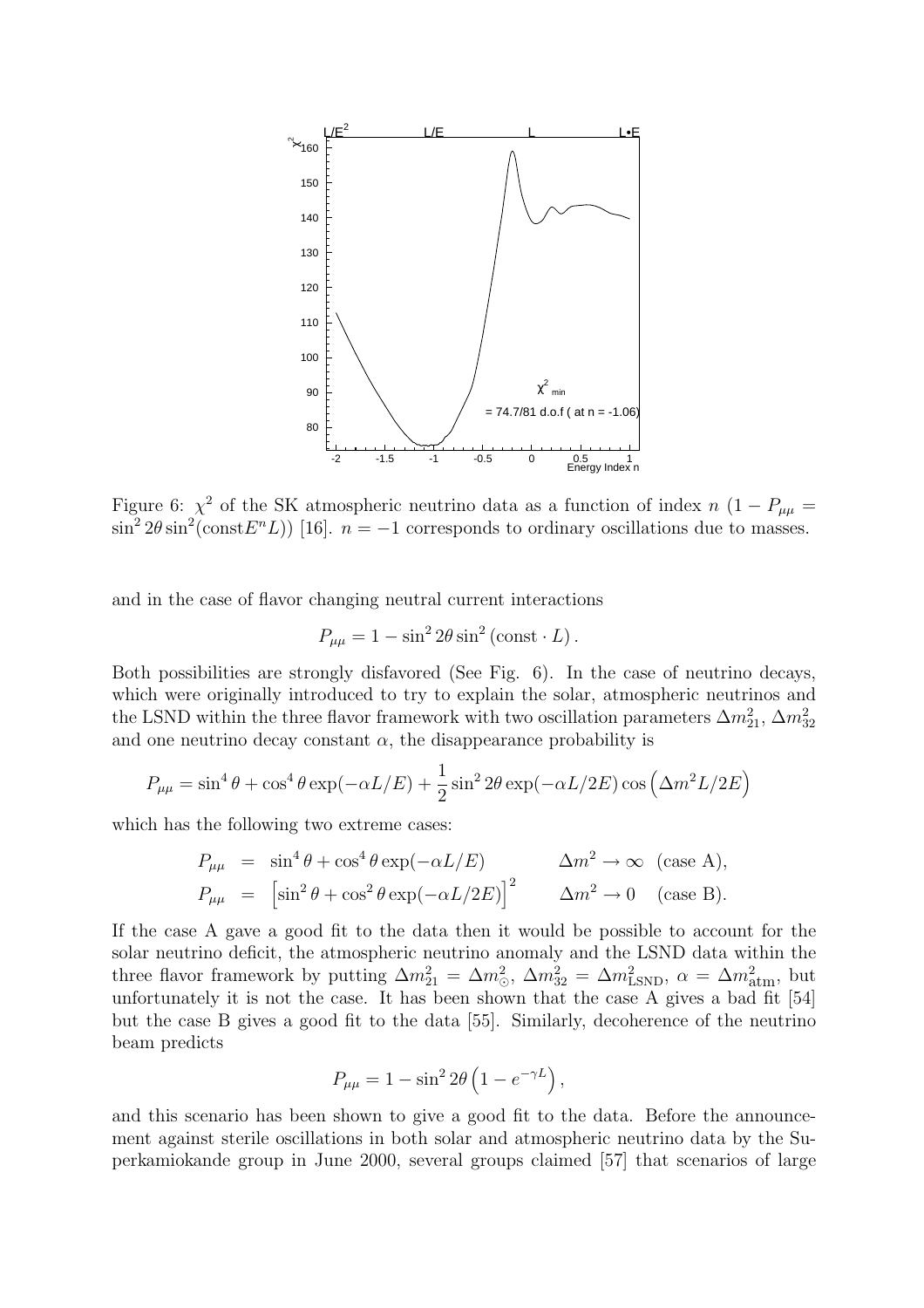

Figure 6:  $\chi^2$  of the SK atmospheric neutrino data as a function of index  $n(1-P_{\mu\mu})$  $\sin^2 2\theta \sin^2(\text{const} E^n L)$  [16].  $n = -1$  corresponds to ordinary oscillations due to masses.

and in the case of flavor changing neutral current interactions

$$
P_{\mu\mu} = 1 - \sin^2 2\theta \sin^2 (\text{const} \cdot L).
$$

Both possibilities are strongly disfavored (See Fig. 6). In the case of neutrino decays, which were originally introduced to try to explain the solar, atmospheric neutrinos and the LSND within the three flavor framework with two oscillation parameters  $\Delta m_{21}^2$ ,  $\Delta m_{32}^2$ and one neutrino decay constant  $\alpha$ , the disappearance probability is

$$
P_{\mu\mu} = \sin^4 \theta + \cos^4 \theta \exp(-\alpha L/E) + \frac{1}{2} \sin^2 2\theta \exp(-\alpha L/2E) \cos \left(\Delta m^2 L/2E\right)
$$

which has the following two extreme cases:

$$
P_{\mu\mu} = \sin^4 \theta + \cos^4 \theta \exp(-\alpha L/E) \qquad \Delta m^2 \to \infty \text{ (case A)},
$$
  

$$
P_{\mu\mu} = [\sin^2 \theta + \cos^2 \theta \exp(-\alpha L/2E)]^2 \qquad \Delta m^2 \to 0 \text{ (case B)}.
$$

If the case A gave a good fit to the data then it would be possible to account for the solar neutrino deficit, the atmospheric neutrino anomaly and the LSND data within the three flavor framework by putting  $\Delta m_{21}^2 = \Delta m_{\odot}^2$ ,  $\Delta m_{32}^2 = \Delta m_{\rm LSND}^2$ ,  $\alpha = \Delta m_{\rm atm}^2$ , but unfortunately it is not the case. It has been shown that the case A gives a bad fit [54] but the case B gives a good fit to the data [55]. Similarly, decoherence of the neutrino beam predicts

$$
P_{\mu\mu} = 1 - \sin^2 2\theta \left( 1 - e^{-\gamma L} \right),
$$

and this scenario has been shown to give a good fit to the data. Before the announcement against sterile oscillations in both solar and atmospheric neutrino data by the Superkamiokande group in June 2000, several groups claimed [57] that scenarios of large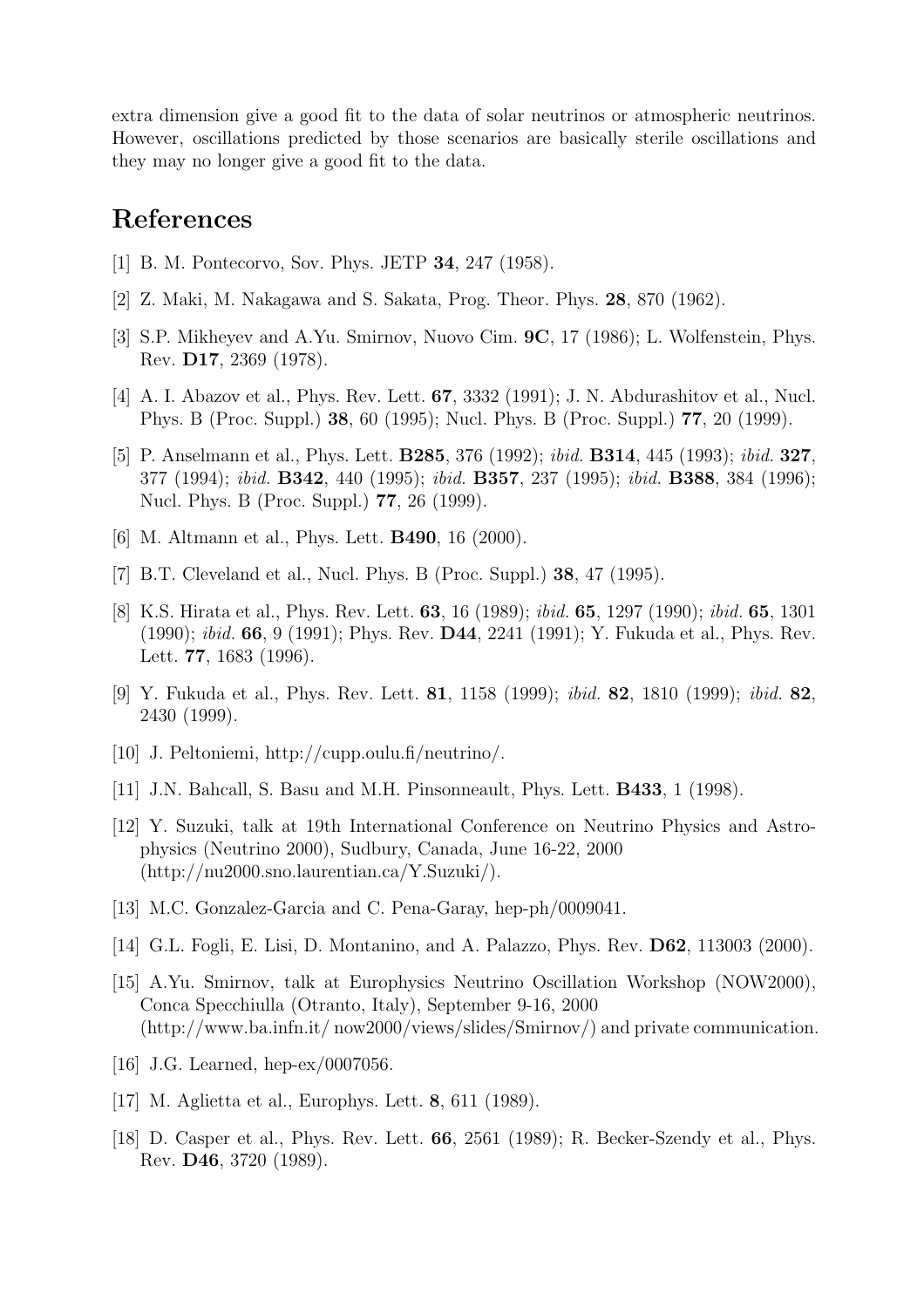extra dimension give a good fit to the data of solar neutrinos or atmospheric neutrinos. However, oscillations predicted by those scenarios are basically sterile oscillations and they may no longer give a good fit to the data.

# References

- [1] B. M. Pontecorvo, Sov. Phys. JETP 34, 247 (1958).
- [2] Z. Maki, M. Nakagawa and S. Sakata, Prog. Theor. Phys. 28, 870 (1962).
- [3] S.P. Mikheyev and A.Yu. Smirnov, Nuovo Cim. 9C, 17 (1986); L. Wolfenstein, Phys. Rev. D17, 2369 (1978).
- [4] A. I. Abazov et al., Phys. Rev. Lett. 67, 3332 (1991); J. N. Abdurashitov et al., Nucl. Phys. B (Proc. Suppl.) 38, 60 (1995); Nucl. Phys. B (Proc. Suppl.) 77, 20 (1999).
- [5] P. Anselmann et al., Phys. Lett. **B285**, 376 (1992); *ibid.* **B314**, 445 (1993); *ibid.* **327**, 377 (1994); ibid. B342, 440 (1995); ibid. B357, 237 (1995); ibid. B388, 384 (1996); Nucl. Phys. B (Proc. Suppl.) 77, 26 (1999).
- [6] M. Altmann et al., Phys. Lett. B490, 16 (2000).
- [7] B.T. Cleveland et al., Nucl. Phys. B (Proc. Suppl.) 38, 47 (1995).
- [8] K.S. Hirata et al., Phys. Rev. Lett. 63, 16 (1989); ibid. 65, 1297 (1990); ibid. 65, 1301 (1990); ibid. 66, 9 (1991); Phys. Rev. D44, 2241 (1991); Y. Fukuda et al., Phys. Rev. Lett. 77, 1683 (1996).
- [9] Y. Fukuda et al., Phys. Rev. Lett. 81, 1158 (1999); ibid. 82, 1810 (1999); ibid. 82, 2430 (1999).
- [10] J. Peltoniemi, http://cupp.oulu.fi/neutrino/.
- [11] J.N. Bahcall, S. Basu and M.H. Pinsonneault, Phys. Lett. B433, 1 (1998).
- [12] Y. Suzuki, talk at 19th International Conference on Neutrino Physics and Astrophysics (Neutrino 2000), Sudbury, Canada, June 16-22, 2000 (http://nu2000.sno.laurentian.ca/Y.Suzuki/).
- [13] M.C. Gonzalez-Garcia and C. Pena-Garay, hep-ph/0009041.
- [14] G.L. Fogli, E. Lisi, D. Montanino, and A. Palazzo, Phys. Rev. D62, 113003 (2000).
- [15] A.Yu. Smirnov, talk at Europhysics Neutrino Oscillation Workshop (NOW2000), Conca Specchiulla (Otranto, Italy), September 9-16, 2000 (http://www.ba.infn.it/ now2000/views/slides/Smirnov/) and private communication.
- [16] J.G. Learned, hep-ex/0007056.
- [17] M. Aglietta et al., Europhys. Lett. 8, 611 (1989).
- [18] D. Casper et al., Phys. Rev. Lett. 66, 2561 (1989); R. Becker-Szendy et al., Phys. Rev. D46, 3720 (1989).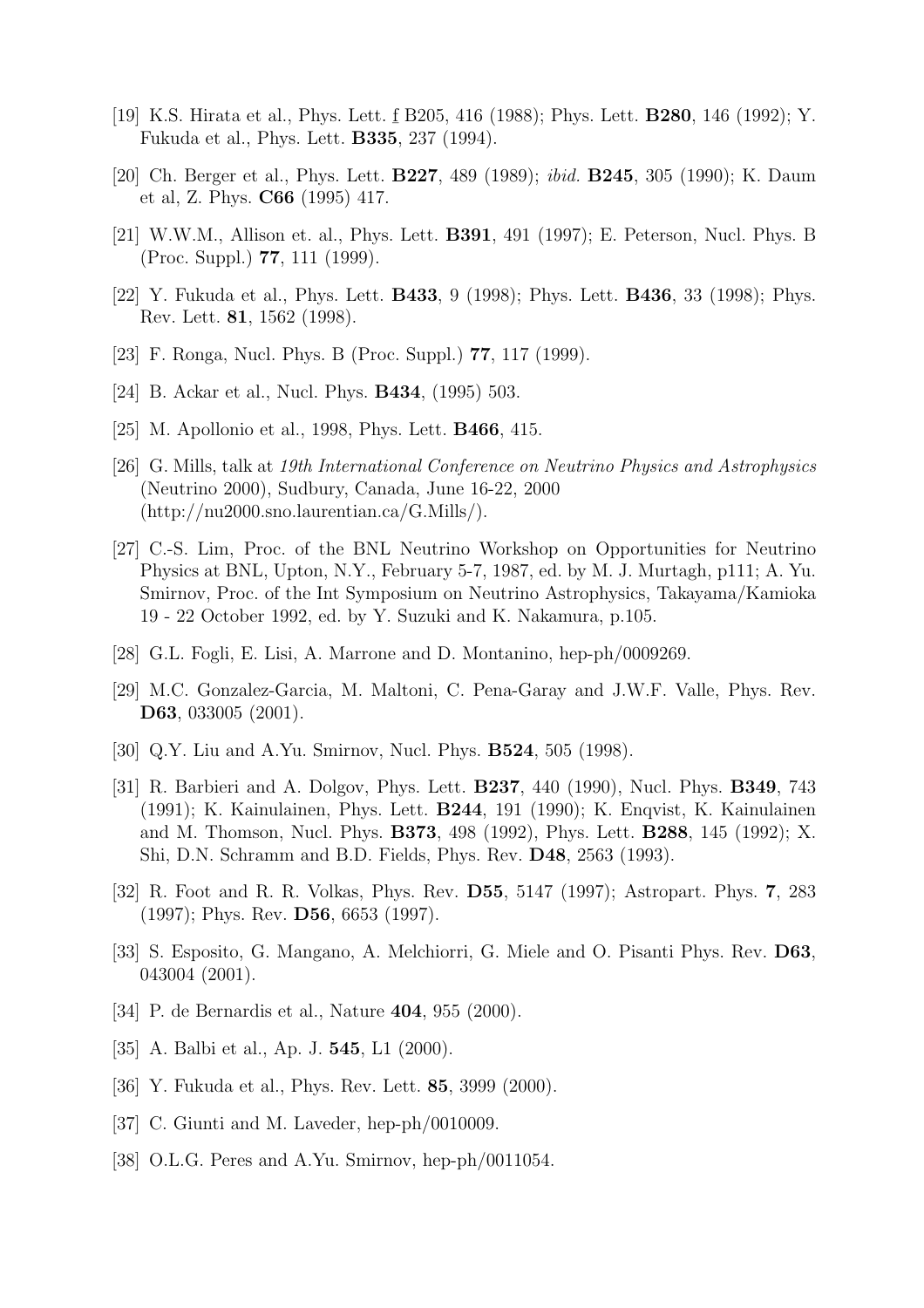- [19] K.S. Hirata et al., Phys. Lett. f B205, 416 (1988); Phys. Lett. B280, 146 (1992); Y. Fukuda et al., Phys. Lett. **B335**, 237 (1994).
- [20] Ch. Berger et al., Phys. Lett. B227, 489 (1989); ibid. B245, 305 (1990); K. Daum et al, Z. Phys. C66 (1995) 417.
- [21] W.W.M., Allison et. al., Phys. Lett. B391, 491 (1997); E. Peterson, Nucl. Phys. B (Proc. Suppl.) 77, 111 (1999).
- [22] Y. Fukuda et al., Phys. Lett. **B433**, 9 (1998); Phys. Lett. **B436**, 33 (1998); Phys. Rev. Lett. 81, 1562 (1998).
- [23] F. Ronga, Nucl. Phys. B (Proc. Suppl.) 77, 117 (1999).
- [24] B. Ackar et al., Nucl. Phys. B434, (1995) 503.
- [25] M. Apollonio et al., 1998, Phys. Lett. B466, 415.
- [26] G. Mills, talk at 19th International Conference on Neutrino Physics and Astrophysics (Neutrino 2000), Sudbury, Canada, June 16-22, 2000 (http://nu2000.sno.laurentian.ca/G.Mills/).
- [27] C.-S. Lim, Proc. of the BNL Neutrino Workshop on Opportunities for Neutrino Physics at BNL, Upton, N.Y., February 5-7, 1987, ed. by M. J. Murtagh, p111; A. Yu. Smirnov, Proc. of the Int Symposium on Neutrino Astrophysics, Takayama/Kamioka 19 - 22 October 1992, ed. by Y. Suzuki and K. Nakamura, p.105.
- [28] G.L. Fogli, E. Lisi, A. Marrone and D. Montanino, hep-ph/0009269.
- [29] M.C. Gonzalez-Garcia, M. Maltoni, C. Pena-Garay and J.W.F. Valle, Phys. Rev. D63, 033005 (2001).
- [30] Q.Y. Liu and A.Yu. Smirnov, Nucl. Phys. **B524**, 505 (1998).
- [31] R. Barbieri and A. Dolgov, Phys. Lett. B237, 440 (1990), Nucl. Phys. B349, 743 (1991); K. Kainulainen, Phys. Lett. B244, 191 (1990); K. Enqvist, K. Kainulainen and M. Thomson, Nucl. Phys. B373, 498 (1992), Phys. Lett. B288, 145 (1992); X. Shi, D.N. Schramm and B.D. Fields, Phys. Rev. D48, 2563 (1993).
- [32] R. Foot and R. R. Volkas, Phys. Rev. D55, 5147 (1997); Astropart. Phys. 7, 283 (1997); Phys. Rev. D56, 6653 (1997).
- [33] S. Esposito, G. Mangano, A. Melchiorri, G. Miele and O. Pisanti Phys. Rev. D63, 043004 (2001).
- [34] P. de Bernardis et al., Nature 404, 955 (2000).
- [35] A. Balbi et al., Ap. J. 545, L1 (2000).
- [36] Y. Fukuda et al., Phys. Rev. Lett. 85, 3999 (2000).
- [37] C. Giunti and M. Laveder, hep-ph/0010009.
- [38] O.L.G. Peres and A.Yu. Smirnov, hep-ph/0011054.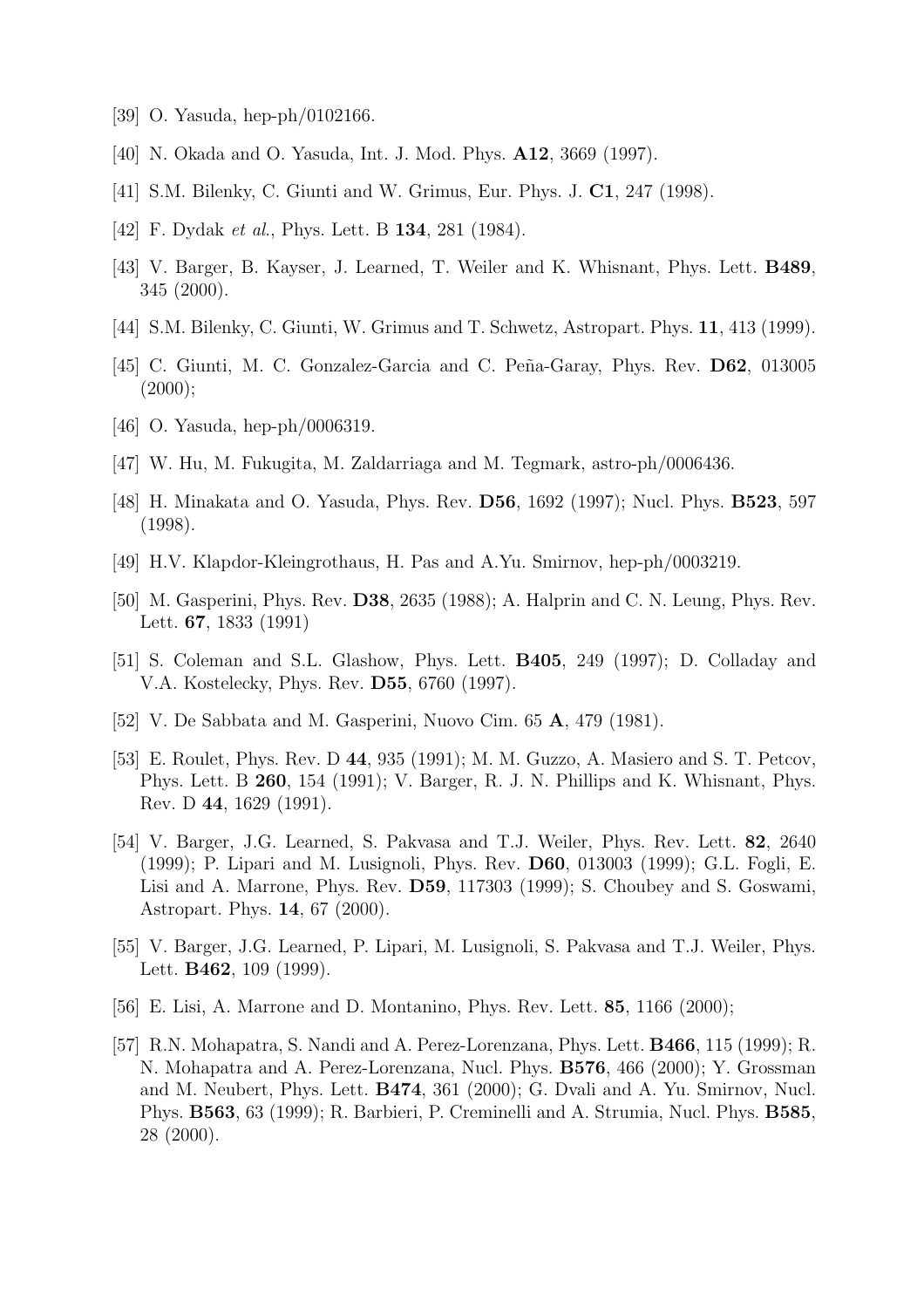- [39] O. Yasuda, hep-ph/0102166.
- [40] N. Okada and O. Yasuda, Int. J. Mod. Phys. A12, 3669 (1997).
- [41] S.M. Bilenky, C. Giunti and W. Grimus, Eur. Phys. J. C1, 247 (1998).
- [42] F. Dydak et al., Phys. Lett. B 134, 281 (1984).
- [43] V. Barger, B. Kayser, J. Learned, T. Weiler and K. Whisnant, Phys. Lett. B489, 345 (2000).
- [44] S.M. Bilenky, C. Giunti, W. Grimus and T. Schwetz, Astropart. Phys. 11, 413 (1999).
- [45] C. Giunti, M. C. Gonzalez-Garcia and C. Peña-Garay, Phys. Rev.  $\mathbf{D62}$ , 013005  $(2000);$
- [46] O. Yasuda, hep-ph/0006319.
- [47] W. Hu, M. Fukugita, M. Zaldarriaga and M. Tegmark, astro-ph/0006436.
- [48] H. Minakata and O. Yasuda, Phys. Rev. **D56**, 1692 (1997); Nucl. Phys. **B523**, 597 (1998).
- [49] H.V. Klapdor-Kleingrothaus, H. Pas and A.Yu. Smirnov, hep-ph/0003219.
- [50] M. Gasperini, Phys. Rev. D38, 2635 (1988); A. Halprin and C. N. Leung, Phys. Rev. Lett. 67, 1833 (1991)
- [51] S. Coleman and S.L. Glashow, Phys. Lett. B405, 249 (1997); D. Colladay and V.A. Kostelecky, Phys. Rev. D55, 6760 (1997).
- [52] V. De Sabbata and M. Gasperini, Nuovo Cim. 65 A, 479 (1981).
- [53] E. Roulet, Phys. Rev. D 44, 935 (1991); M. M. Guzzo, A. Masiero and S. T. Petcov, Phys. Lett. B 260, 154 (1991); V. Barger, R. J. N. Phillips and K. Whisnant, Phys. Rev. D 44, 1629 (1991).
- [54] V. Barger, J.G. Learned, S. Pakvasa and T.J. Weiler, Phys. Rev. Lett. 82, 2640 (1999); P. Lipari and M. Lusignoli, Phys. Rev. D60, 013003 (1999); G.L. Fogli, E. Lisi and A. Marrone, Phys. Rev. D59, 117303 (1999); S. Choubey and S. Goswami, Astropart. Phys. 14, 67 (2000).
- [55] V. Barger, J.G. Learned, P. Lipari, M. Lusignoli, S. Pakvasa and T.J. Weiler, Phys. Lett. B462, 109 (1999).
- [56] E. Lisi, A. Marrone and D. Montanino, Phys. Rev. Lett. 85, 1166 (2000);
- [57] R.N. Mohapatra, S. Nandi and A. Perez-Lorenzana, Phys. Lett. B466, 115 (1999); R. N. Mohapatra and A. Perez-Lorenzana, Nucl. Phys. B576, 466 (2000); Y. Grossman and M. Neubert, Phys. Lett. B474, 361 (2000); G. Dvali and A. Yu. Smirnov, Nucl. Phys. B563, 63 (1999); R. Barbieri, P. Creminelli and A. Strumia, Nucl. Phys. B585, 28 (2000).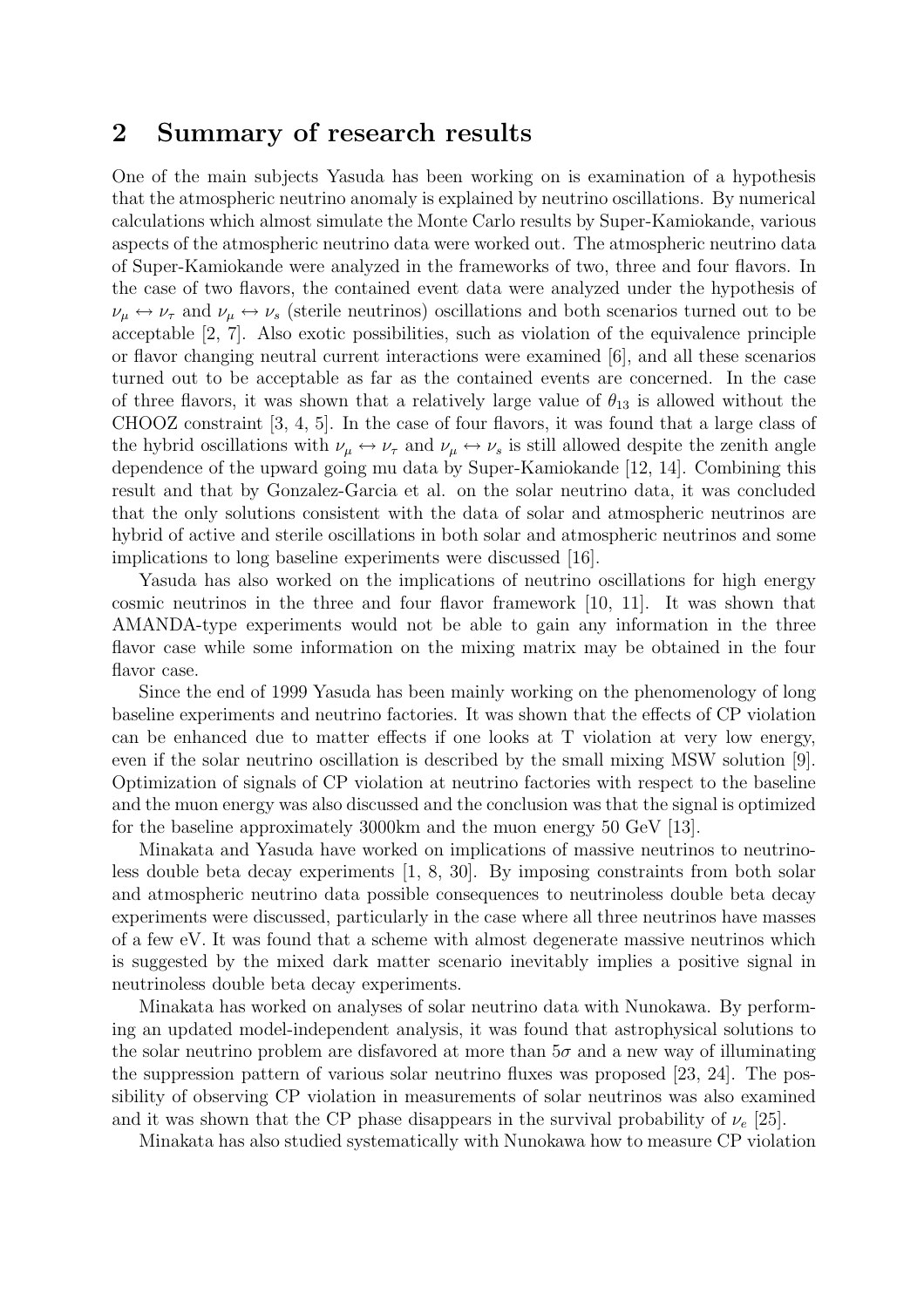# 2 Summary of research results

One of the main subjects Yasuda has been working on is examination of a hypothesis that the atmospheric neutrino anomaly is explained by neutrino oscillations. By numerical calculations which almost simulate the Monte Carlo results by Super-Kamiokande, various aspects of the atmospheric neutrino data were worked out. The atmospheric neutrino data of Super-Kamiokande were analyzed in the frameworks of two, three and four flavors. In the case of two flavors, the contained event data were analyzed under the hypothesis of  $\nu_\mu \leftrightarrow \nu_\tau$  and  $\nu_\mu \leftrightarrow \nu_s$  (sterile neutrinos) oscillations and both scenarios turned out to be acceptable [2, 7]. Also exotic possibilities, such as violation of the equivalence principle or flavor changing neutral current interactions were examined [6], and all these scenarios turned out to be acceptable as far as the contained events are concerned. In the case of three flavors, it was shown that a relatively large value of  $\theta_{13}$  is allowed without the CHOOZ constraint [3, 4, 5]. In the case of four flavors, it was found that a large class of the hybrid oscillations with  $\nu_\mu \leftrightarrow \nu_\tau$  and  $\nu_\mu \leftrightarrow \nu_s$  is still allowed despite the zenith angle dependence of the upward going mu data by Super-Kamiokande [12, 14]. Combining this result and that by Gonzalez-Garcia et al. on the solar neutrino data, it was concluded that the only solutions consistent with the data of solar and atmospheric neutrinos are hybrid of active and sterile oscillations in both solar and atmospheric neutrinos and some implications to long baseline experiments were discussed [16].

Yasuda has also worked on the implications of neutrino oscillations for high energy cosmic neutrinos in the three and four flavor framework [10, 11]. It was shown that AMANDA-type experiments would not be able to gain any information in the three flavor case while some information on the mixing matrix may be obtained in the four flavor case.

Since the end of 1999 Yasuda has been mainly working on the phenomenology of long baseline experiments and neutrino factories. It was shown that the effects of CP violation can be enhanced due to matter effects if one looks at T violation at very low energy, even if the solar neutrino oscillation is described by the small mixing MSW solution [9]. Optimization of signals of CP violation at neutrino factories with respect to the baseline and the muon energy was also discussed and the conclusion was that the signal is optimized for the baseline approximately 3000km and the muon energy 50 GeV [13].

Minakata and Yasuda have worked on implications of massive neutrinos to neutrinoless double beta decay experiments [1, 8, 30]. By imposing constraints from both solar and atmospheric neutrino data possible consequences to neutrinoless double beta decay experiments were discussed, particularly in the case where all three neutrinos have masses of a few eV. It was found that a scheme with almost degenerate massive neutrinos which is suggested by the mixed dark matter scenario inevitably implies a positive signal in neutrinoless double beta decay experiments.

Minakata has worked on analyses of solar neutrino data with Nunokawa. By performing an updated model-independent analysis, it was found that astrophysical solutions to the solar neutrino problem are disfavored at more than  $5\sigma$  and a new way of illuminating the suppression pattern of various solar neutrino fluxes was proposed [23, 24]. The possibility of observing CP violation in measurements of solar neutrinos was also examined and it was shown that the CP phase disappears in the survival probability of  $\nu_e$  [25].

Minakata has also studied systematically with Nunokawa how to measure CP violation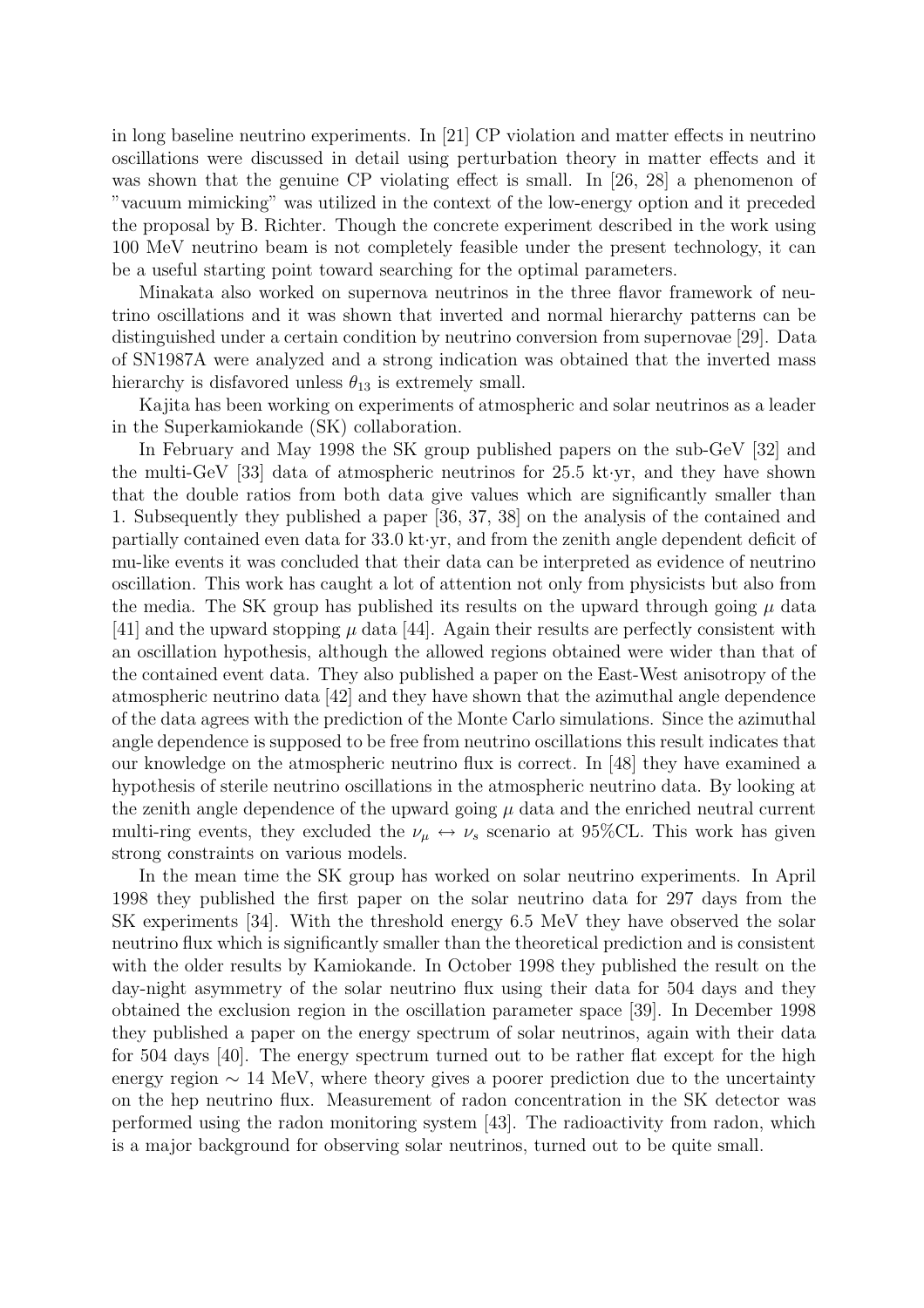in long baseline neutrino experiments. In [21] CP violation and matter effects in neutrino oscillations were discussed in detail using perturbation theory in matter effects and it was shown that the genuine CP violating effect is small. In [26, 28] a phenomenon of "vacuum mimicking" was utilized in the context of the low-energy option and it preceded the proposal by B. Richter. Though the concrete experiment described in the work using 100 MeV neutrino beam is not completely feasible under the present technology, it can be a useful starting point toward searching for the optimal parameters.

Minakata also worked on supernova neutrinos in the three flavor framework of neutrino oscillations and it was shown that inverted and normal hierarchy patterns can be distinguished under a certain condition by neutrino conversion from supernovae [29]. Data of SN1987A were analyzed and a strong indication was obtained that the inverted mass hierarchy is disfavored unless  $\theta_{13}$  is extremely small.

Kajita has been working on experiments of atmospheric and solar neutrinos as a leader in the Superkamiokande (SK) collaboration.

In February and May 1998 the SK group published papers on the sub-GeV [32] and the multi-GeV [33] data of atmospheric neutrinos for 25.5 kt·yr, and they have shown that the double ratios from both data give values which are significantly smaller than 1. Subsequently they published a paper [36, 37, 38] on the analysis of the contained and partially contained even data for 33.0 kt·yr, and from the zenith angle dependent deficit of mu-like events it was concluded that their data can be interpreted as evidence of neutrino oscillation. This work has caught a lot of attention not only from physicists but also from the media. The SK group has published its results on the upward through going  $\mu$  data [41] and the upward stopping  $\mu$  data [44]. Again their results are perfectly consistent with an oscillation hypothesis, although the allowed regions obtained were wider than that of the contained event data. They also published a paper on the East-West anisotropy of the atmospheric neutrino data [42] and they have shown that the azimuthal angle dependence of the data agrees with the prediction of the Monte Carlo simulations. Since the azimuthal angle dependence is supposed to be free from neutrino oscillations this result indicates that our knowledge on the atmospheric neutrino flux is correct. In [48] they have examined a hypothesis of sterile neutrino oscillations in the atmospheric neutrino data. By looking at the zenith angle dependence of the upward going  $\mu$  data and the enriched neutral current multi-ring events, they excluded the  $\nu_{\mu} \leftrightarrow \nu_{s}$  scenario at 95%CL. This work has given strong constraints on various models.

In the mean time the SK group has worked on solar neutrino experiments. In April 1998 they published the first paper on the solar neutrino data for 297 days from the SK experiments [34]. With the threshold energy 6.5 MeV they have observed the solar neutrino flux which is significantly smaller than the theoretical prediction and is consistent with the older results by Kamiokande. In October 1998 they published the result on the day-night asymmetry of the solar neutrino flux using their data for 504 days and they obtained the exclusion region in the oscillation parameter space [39]. In December 1998 they published a paper on the energy spectrum of solar neutrinos, again with their data for 504 days [40]. The energy spectrum turned out to be rather flat except for the high energy region  $\sim$  14 MeV, where theory gives a poorer prediction due to the uncertainty on the hep neutrino flux. Measurement of radon concentration in the SK detector was performed using the radon monitoring system [43]. The radioactivity from radon, which is a major background for observing solar neutrinos, turned out to be quite small.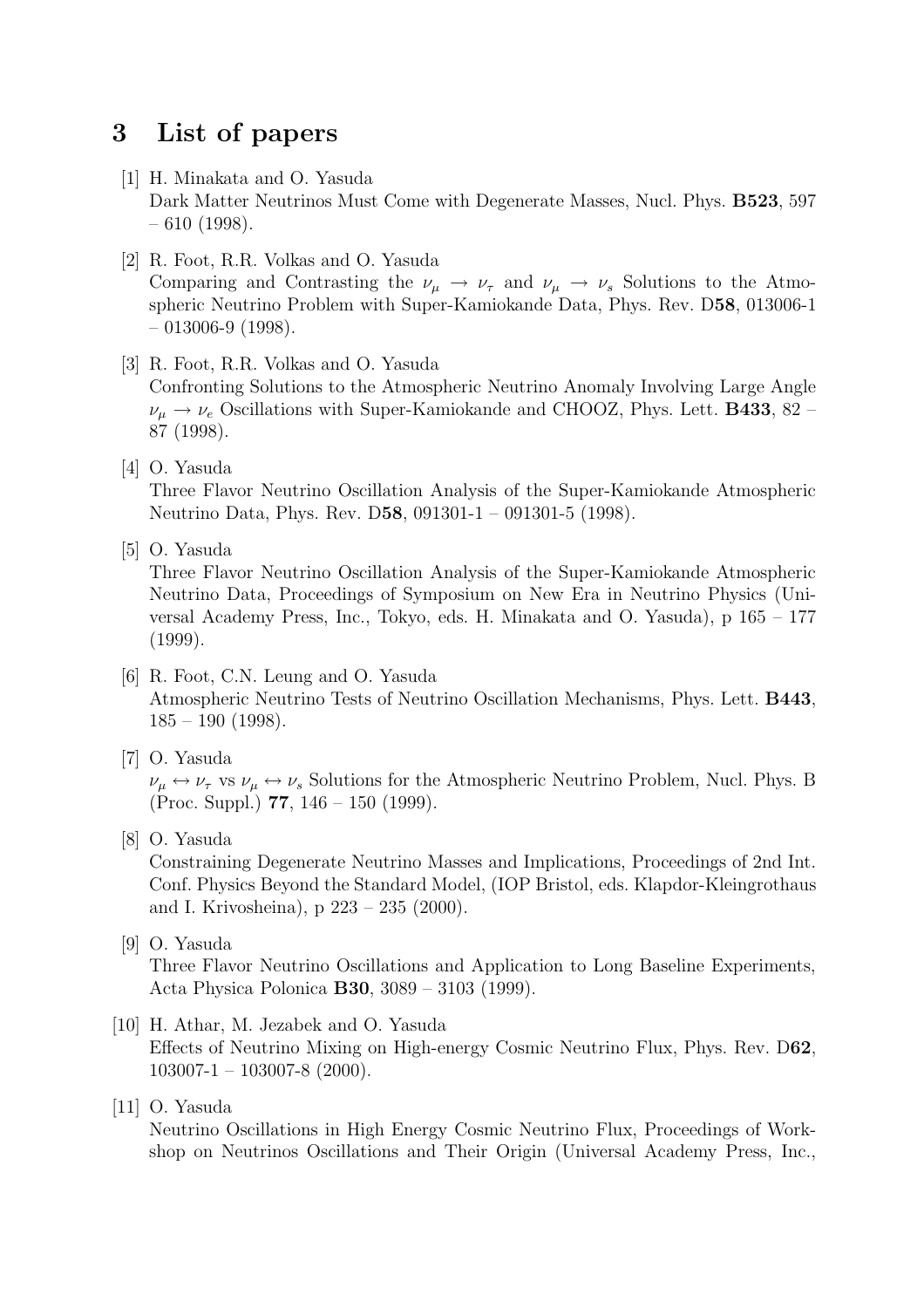# 3 List of papers

- [1] H. Minakata and O. Yasuda Dark Matter Neutrinos Must Come with Degenerate Masses, Nucl. Phys. B523, 597  $-610(1998)$ .
- [2] R. Foot, R.R. Volkas and O. Yasuda Comparing and Contrasting the  $\nu_{\mu} \rightarrow \nu_{\tau}$  and  $\nu_{\mu} \rightarrow \nu_{s}$  Solutions to the Atmospheric Neutrino Problem with Super-Kamiokande Data, Phys. Rev. D58, 013006-1  $-013006-9(1998)$ .
- [3] R. Foot, R.R. Volkas and O. Yasuda Confronting Solutions to the Atmospheric Neutrino Anomaly Involving Large Angle  $\nu_{\mu} \rightarrow \nu_{e}$  Oscillations with Super-Kamiokande and CHOOZ, Phys. Lett. **B433**, 82 – 87 (1998).
- [4] O. Yasuda

Three Flavor Neutrino Oscillation Analysis of the Super-Kamiokande Atmospheric Neutrino Data, Phys. Rev. D58, 091301-1 – 091301-5 (1998).

[5] O. Yasuda

Three Flavor Neutrino Oscillation Analysis of the Super-Kamiokande Atmospheric Neutrino Data, Proceedings of Symposium on New Era in Neutrino Physics (Universal Academy Press, Inc., Tokyo, eds. H. Minakata and O. Yasuda), p 165 – 177 (1999).

- [6] R. Foot, C.N. Leung and O. Yasuda Atmospheric Neutrino Tests of Neutrino Oscillation Mechanisms, Phys. Lett. B443,  $185 - 190$  (1998).
- [7] O. Yasuda

 $\nu_\mu \leftrightarrow \nu_\tau$  vs  $\nu_\mu \leftrightarrow \nu_s$  Solutions for the Atmospheric Neutrino Problem, Nucl. Phys. B (Proc. Suppl.)  $77, 146 - 150$  (1999).

[8] O. Yasuda

Constraining Degenerate Neutrino Masses and Implications, Proceedings of 2nd Int. Conf. Physics Beyond the Standard Model, (IOP Bristol, eds. Klapdor-Kleingrothaus and I. Krivosheina), p 223 – 235 (2000).

[9] O. Yasuda

Three Flavor Neutrino Oscillations and Application to Long Baseline Experiments, Acta Physica Polonica B30, 3089 – 3103 (1999).

- [10] H. Athar, M. Jezabek and O. Yasuda Effects of Neutrino Mixing on High-energy Cosmic Neutrino Flux, Phys. Rev. D62,  $103007-1 - 103007-8$  (2000).
- [11] O. Yasuda

Neutrino Oscillations in High Energy Cosmic Neutrino Flux, Proceedings of Workshop on Neutrinos Oscillations and Their Origin (Universal Academy Press, Inc.,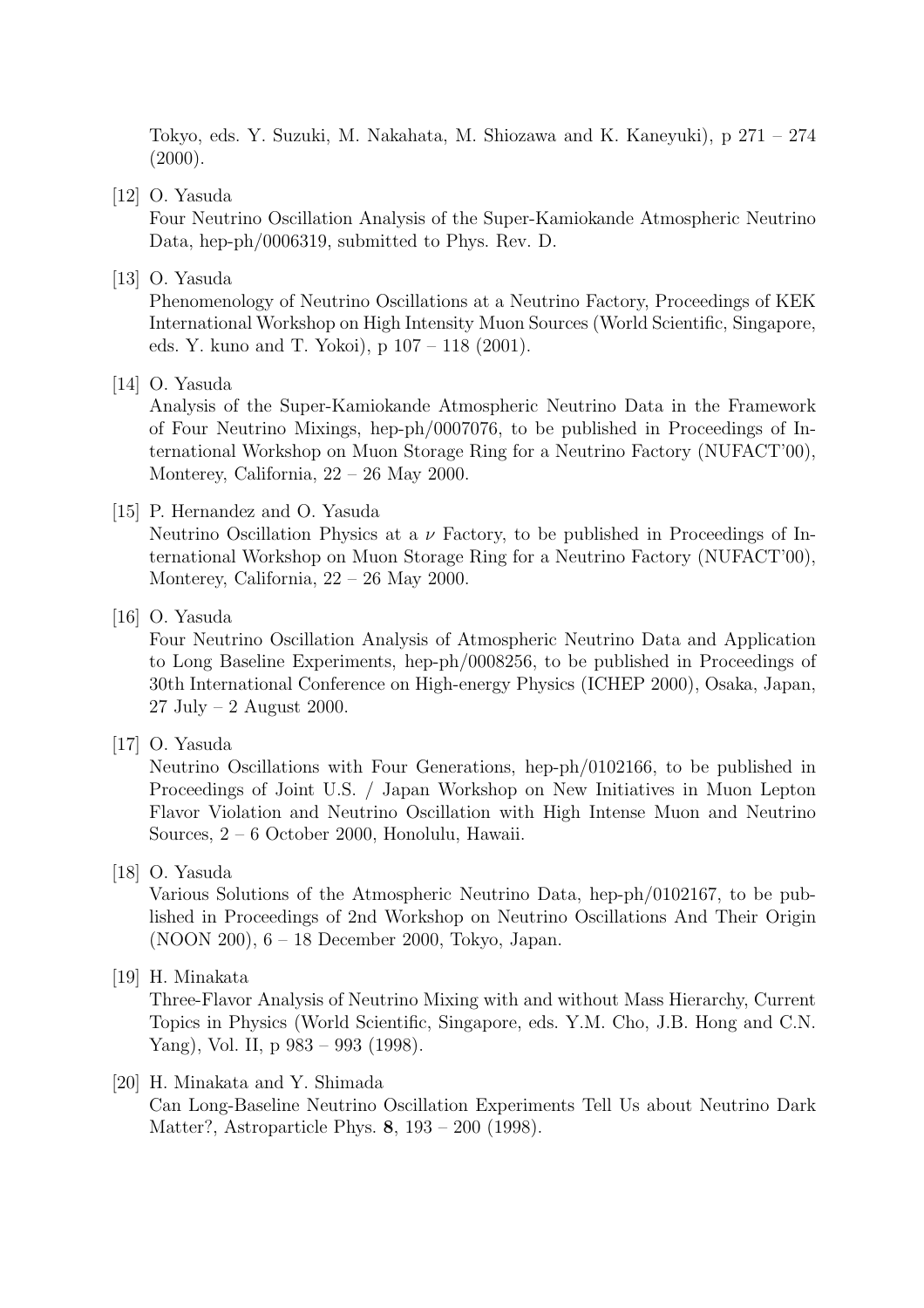Tokyo, eds. Y. Suzuki, M. Nakahata, M. Shiozawa and K. Kaneyuki), p 271 – 274  $(2000).$ 

[12] O. Yasuda

Four Neutrino Oscillation Analysis of the Super-Kamiokande Atmospheric Neutrino Data, hep-ph/0006319, submitted to Phys. Rev. D.

[13] O. Yasuda

Phenomenology of Neutrino Oscillations at a Neutrino Factory, Proceedings of KEK International Workshop on High Intensity Muon Sources (World Scientific, Singapore, eds. Y. kuno and T. Yokoi), p 107 – 118 (2001).

[14] O. Yasuda

Analysis of the Super-Kamiokande Atmospheric Neutrino Data in the Framework of Four Neutrino Mixings, hep-ph/0007076, to be published in Proceedings of International Workshop on Muon Storage Ring for a Neutrino Factory (NUFACT'00), Monterey, California, 22 – 26 May 2000.

#### [15] P. Hernandez and O. Yasuda

Neutrino Oscillation Physics at a  $\nu$  Factory, to be published in Proceedings of International Workshop on Muon Storage Ring for a Neutrino Factory (NUFACT'00), Monterey, California, 22 – 26 May 2000.

[16] O. Yasuda

Four Neutrino Oscillation Analysis of Atmospheric Neutrino Data and Application to Long Baseline Experiments, hep-ph/0008256, to be published in Proceedings of 30th International Conference on High-energy Physics (ICHEP 2000), Osaka, Japan, 27 July – 2 August 2000.

[17] O. Yasuda

Neutrino Oscillations with Four Generations, hep-ph/0102166, to be published in Proceedings of Joint U.S. / Japan Workshop on New Initiatives in Muon Lepton Flavor Violation and Neutrino Oscillation with High Intense Muon and Neutrino Sources, 2 – 6 October 2000, Honolulu, Hawaii.

[18] O. Yasuda

Various Solutions of the Atmospheric Neutrino Data, hep-ph/0102167, to be published in Proceedings of 2nd Workshop on Neutrino Oscillations And Their Origin (NOON 200), 6 – 18 December 2000, Tokyo, Japan.

[19] H. Minakata

Three-Flavor Analysis of Neutrino Mixing with and without Mass Hierarchy, Current Topics in Physics (World Scientific, Singapore, eds. Y.M. Cho, J.B. Hong and C.N. Yang), Vol. II, p 983 – 993 (1998).

#### [20] H. Minakata and Y. Shimada

Can Long-Baseline Neutrino Oscillation Experiments Tell Us about Neutrino Dark Matter?, Astroparticle Phys. 8, 193 – 200 (1998).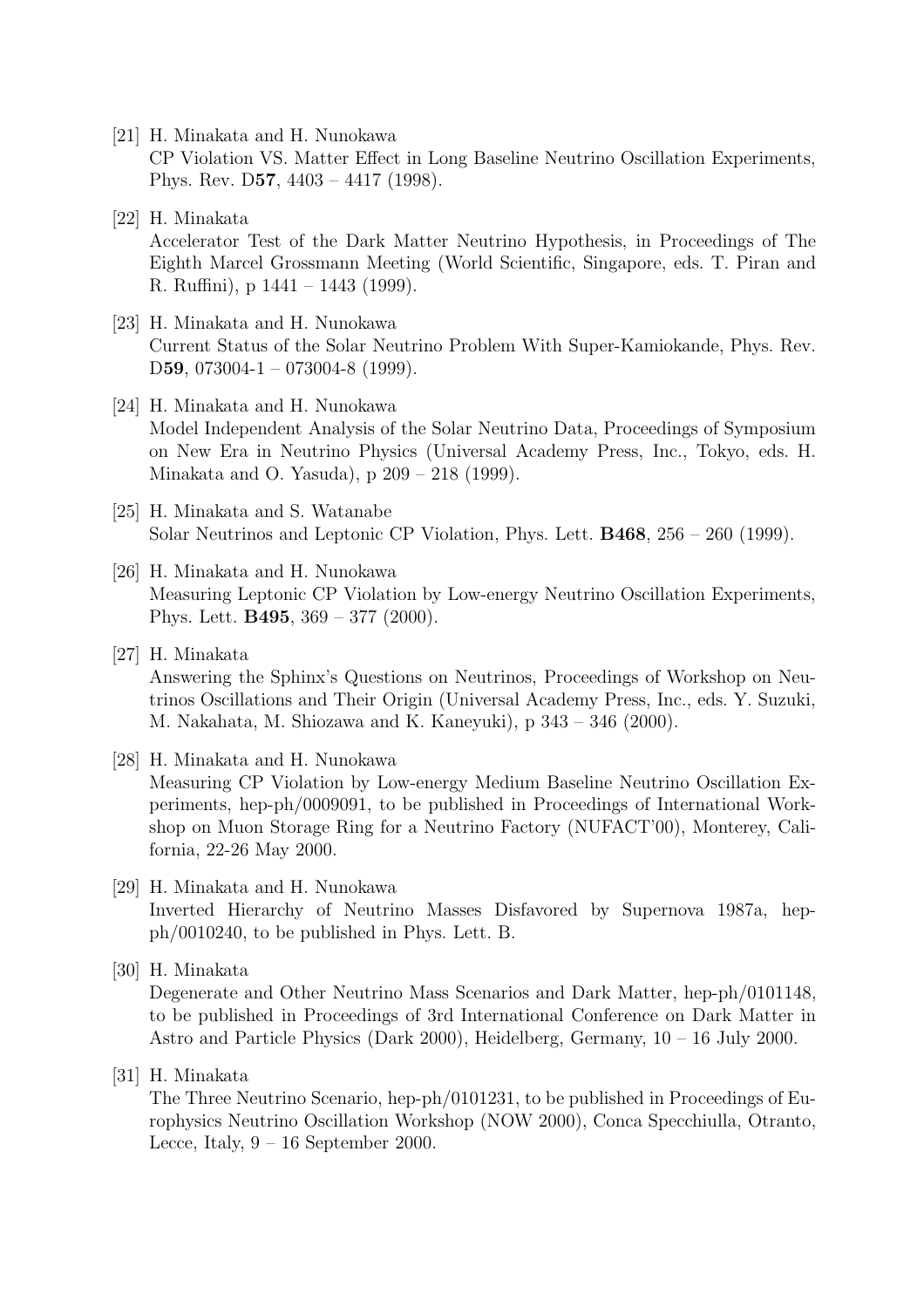[21] H. Minakata and H. Nunokawa

CP Violation VS. Matter Effect in Long Baseline Neutrino Oscillation Experiments, Phys. Rev. D57, 4403 – 4417 (1998).

- [22] H. Minakata Accelerator Test of the Dark Matter Neutrino Hypothesis, in Proceedings of The Eighth Marcel Grossmann Meeting (World Scientific, Singapore, eds. T. Piran and R. Ruffini), p 1441 – 1443 (1999).
- [23] H. Minakata and H. Nunokawa Current Status of the Solar Neutrino Problem With Super-Kamiokande, Phys. Rev. D59, 073004-1 – 073004-8 (1999).
- [24] H. Minakata and H. Nunokawa Model Independent Analysis of the Solar Neutrino Data, Proceedings of Symposium on New Era in Neutrino Physics (Universal Academy Press, Inc., Tokyo, eds. H. Minakata and O. Yasuda), p 209 – 218 (1999).
- [25] H. Minakata and S. Watanabe Solar Neutrinos and Leptonic CP Violation, Phys. Lett. B468, 256 – 260 (1999).
- [26] H. Minakata and H. Nunokawa Measuring Leptonic CP Violation by Low-energy Neutrino Oscillation Experiments, Phys. Lett. B495, 369 – 377 (2000).
- [27] H. Minakata Answering the Sphinx's Questions on Neutrinos, Proceedings of Workshop on Neutrinos Oscillations and Their Origin (Universal Academy Press, Inc., eds. Y. Suzuki, M. Nakahata, M. Shiozawa and K. Kaneyuki), p 343 – 346 (2000).
- [28] H. Minakata and H. Nunokawa Measuring CP Violation by Low-energy Medium Baseline Neutrino Oscillation Experiments, hep-ph/0009091, to be published in Proceedings of International Workshop on Muon Storage Ring for a Neutrino Factory (NUFACT'00), Monterey, California, 22-26 May 2000.
- [29] H. Minakata and H. Nunokawa Inverted Hierarchy of Neutrino Masses Disfavored by Supernova 1987a, hepph/0010240, to be published in Phys. Lett. B.
- [30] H. Minakata

Degenerate and Other Neutrino Mass Scenarios and Dark Matter, hep-ph/0101148, to be published in Proceedings of 3rd International Conference on Dark Matter in Astro and Particle Physics (Dark 2000), Heidelberg, Germany, 10 – 16 July 2000.

[31] H. Minakata

The Three Neutrino Scenario, hep-ph/0101231, to be published in Proceedings of Europhysics Neutrino Oscillation Workshop (NOW 2000), Conca Specchiulla, Otranto, Lecce, Italy,  $9 - 16$  September 2000.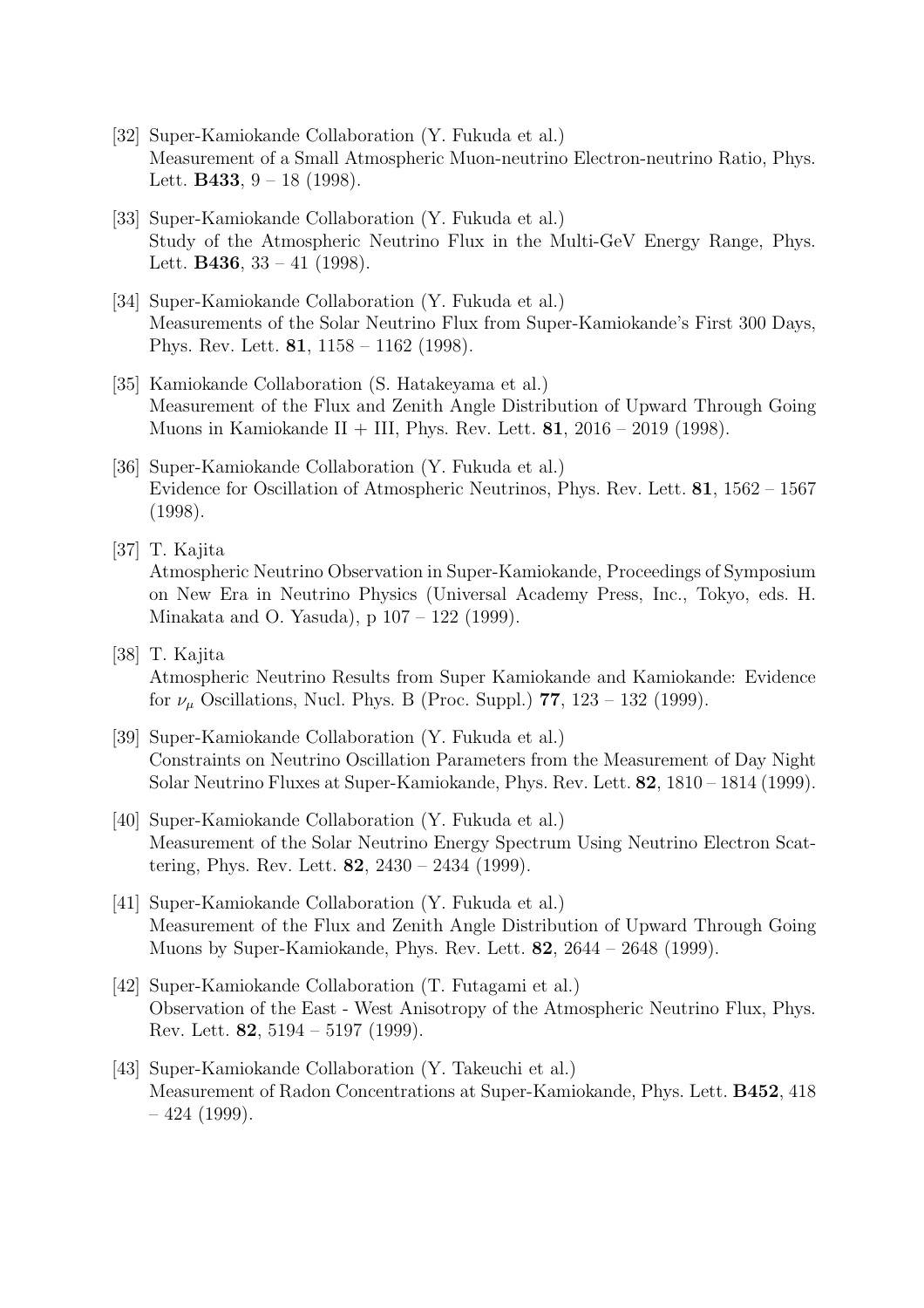- [32] Super-Kamiokande Collaboration (Y. Fukuda et al.) Measurement of a Small Atmospheric Muon-neutrino Electron-neutrino Ratio, Phys. Lett. **B433**,  $9 - 18$  (1998).
- [33] Super-Kamiokande Collaboration (Y. Fukuda et al.) Study of the Atmospheric Neutrino Flux in the Multi-GeV Energy Range, Phys. Lett. **B436**,  $33 - 41$  (1998).
- [34] Super-Kamiokande Collaboration (Y. Fukuda et al.) Measurements of the Solar Neutrino Flux from Super-Kamiokande's First 300 Days, Phys. Rev. Lett. 81, 1158 – 1162 (1998).
- [35] Kamiokande Collaboration (S. Hatakeyama et al.) Measurement of the Flux and Zenith Angle Distribution of Upward Through Going Muons in Kamiokande II + III, Phys. Rev. Lett. **81**,  $2016 - 2019$  (1998).
- [36] Super-Kamiokande Collaboration (Y. Fukuda et al.) Evidence for Oscillation of Atmospheric Neutrinos, Phys. Rev. Lett. 81, 1562 – 1567 (1998).

#### [37] T. Kajita

Atmospheric Neutrino Observation in Super-Kamiokande, Proceedings of Symposium on New Era in Neutrino Physics (Universal Academy Press, Inc., Tokyo, eds. H. Minakata and O. Yasuda), p 107 – 122 (1999).

- [38] T. Kajita Atmospheric Neutrino Results from Super Kamiokande and Kamiokande: Evidence for  $\nu_{\mu}$  Oscillations, Nucl. Phys. B (Proc. Suppl.) **77**, 123 – 132 (1999).
- [39] Super-Kamiokande Collaboration (Y. Fukuda et al.) Constraints on Neutrino Oscillation Parameters from the Measurement of Day Night Solar Neutrino Fluxes at Super-Kamiokande, Phys. Rev. Lett. 82, 1810 – 1814 (1999).
- [40] Super-Kamiokande Collaboration (Y. Fukuda et al.) Measurement of the Solar Neutrino Energy Spectrum Using Neutrino Electron Scattering, Phys. Rev. Lett. 82, 2430 – 2434 (1999).
- [41] Super-Kamiokande Collaboration (Y. Fukuda et al.) Measurement of the Flux and Zenith Angle Distribution of Upward Through Going Muons by Super-Kamiokande, Phys. Rev. Lett. 82, 2644 – 2648 (1999).
- [42] Super-Kamiokande Collaboration (T. Futagami et al.) Observation of the East - West Anisotropy of the Atmospheric Neutrino Flux, Phys. Rev. Lett. 82, 5194 – 5197 (1999).
- [43] Super-Kamiokande Collaboration (Y. Takeuchi et al.) Measurement of Radon Concentrations at Super-Kamiokande, Phys. Lett. B452, 418  $-424$  (1999).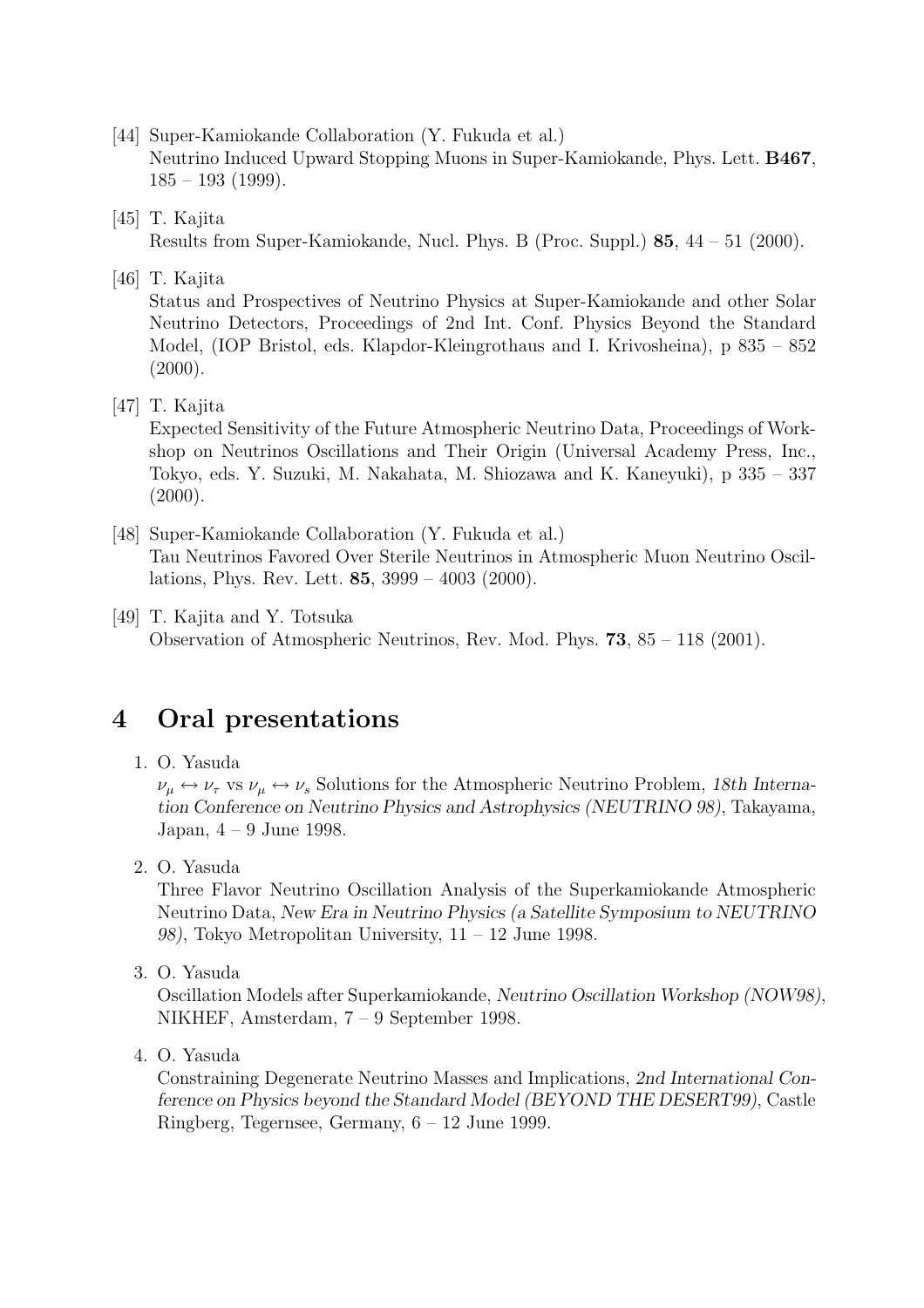- [44] Super-Kamiokande Collaboration (Y. Fukuda et al.) Neutrino Induced Upward Stopping Muons in Super-Kamiokande, Phys. Lett. B467,  $185 - 193$  (1999).
- [45] T. Kajita Results from Super-Kamiokande, Nucl. Phys. B (Proc. Suppl.) 85, 44 – 51 (2000).
- [46] T. Kajita

Status and Prospectives of Neutrino Physics at Super-Kamiokande and other Solar Neutrino Detectors, Proceedings of 2nd Int. Conf. Physics Beyond the Standard Model, (IOP Bristol, eds. Klapdor-Kleingrothaus and I. Krivosheina), p 835 – 852  $(2000).$ 

[47] T. Kajita

Expected Sensitivity of the Future Atmospheric Neutrino Data, Proceedings of Workshop on Neutrinos Oscillations and Their Origin (Universal Academy Press, Inc., Tokyo, eds. Y. Suzuki, M. Nakahata, M. Shiozawa and K. Kaneyuki), p 335 – 337  $(2000).$ 

- [48] Super-Kamiokande Collaboration (Y. Fukuda et al.) Tau Neutrinos Favored Over Sterile Neutrinos in Atmospheric Muon Neutrino Oscillations, Phys. Rev. Lett. 85, 3999 – 4003 (2000).
- [49] T. Kajita and Y. Totsuka Observation of Atmospheric Neutrinos, Rev. Mod. Phys. 73, 85 – 118 (2001).

# 4 Oral presentations

1. O. Yasuda

 $\nu_{\mu} \leftrightarrow \nu_{\tau}$  vs  $\nu_{\mu} \leftrightarrow \nu_{s}$  Solutions for the Atmospheric Neutrino Problem, 18th Internation Conference on Neutrino Physics and Astrophysics (NEUTRINO 98), Takayama, Japan,  $4 - 9$  June 1998.

2. O. Yasuda

Three Flavor Neutrino Oscillation Analysis of the Superkamiokande Atmospheric Neutrino Data, New Era in Neutrino Physics (a Satellite Symposium to NEUTRINO 98), Tokyo Metropolitan University, 11 – 12 June 1998.

3. O. Yasuda

Oscillation Models after Superkamiokande, Neutrino Oscillation Workshop (NOW98), NIKHEF, Amsterdam, 7 – 9 September 1998.

4. O. Yasuda

Constraining Degenerate Neutrino Masses and Implications, 2nd International Conference on Physics beyond the Standard Model (BEYOND THE DESERT99), Castle Ringberg, Tegernsee, Germany, 6 – 12 June 1999.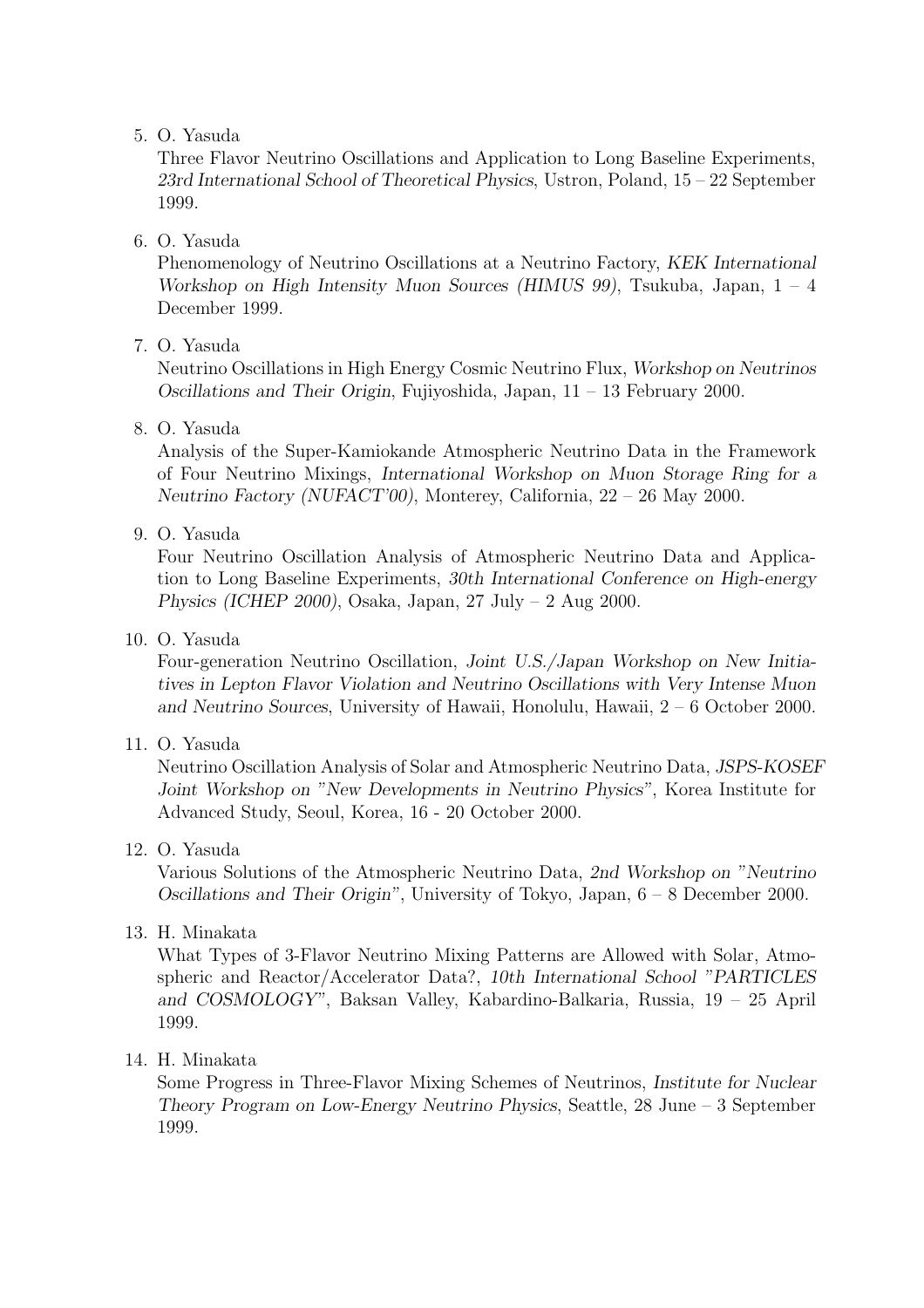# 5. O. Yasuda

Three Flavor Neutrino Oscillations and Application to Long Baseline Experiments, 23rd International School of Theoretical Physics, Ustron, Poland, 15 – 22 September 1999.

# 6. O. Yasuda

Phenomenology of Neutrino Oscillations at a Neutrino Factory, KEK International Workshop on High Intensity Muon Sources (HIMUS 99), Tsukuba, Japan, 1 – 4 December 1999.

# 7. O. Yasuda

Neutrino Oscillations in High Energy Cosmic Neutrino Flux, Workshop on Neutrinos Oscillations and Their Origin, Fujiyoshida, Japan,  $11 - 13$  February 2000.

# 8. O. Yasuda

Analysis of the Super-Kamiokande Atmospheric Neutrino Data in the Framework of Four Neutrino Mixings, International Workshop on Muon Storage Ring for a Neutrino Factory (NUFACT'00), Monterey, California, 22 – 26 May 2000.

9. O. Yasuda

Four Neutrino Oscillation Analysis of Atmospheric Neutrino Data and Application to Long Baseline Experiments, 30th International Conference on High-energy Physics (ICHEP 2000), Osaka, Japan, 27 July – 2 Aug 2000.

# 10. O. Yasuda

Four-generation Neutrino Oscillation, Joint U.S./Japan Workshop on New Initiatives in Lepton Flavor Violation and Neutrino Oscillations with Very Intense Muon and Neutrino Sources, University of Hawaii, Honolulu, Hawaii, 2 – 6 October 2000.

11. O. Yasuda

Neutrino Oscillation Analysis of Solar and Atmospheric Neutrino Data, JSPS-KOSEF Joint Workshop on "New Developments in Neutrino Physics", Korea Institute for Advanced Study, Seoul, Korea, 16 - 20 October 2000.

# 12. O. Yasuda

Various Solutions of the Atmospheric Neutrino Data, 2nd Workshop on "Neutrino Oscillations and Their Origin", University of Tokyo, Japan,  $6 - 8$  December 2000.

# 13. H. Minakata

What Types of 3-Flavor Neutrino Mixing Patterns are Allowed with Solar, Atmospheric and Reactor/Accelerator Data?, 10th International School "PARTICLES and COSMOLOGY", Baksan Valley, Kabardino-Balkaria, Russia, 19 – 25 April 1999.

# 14. H. Minakata

Some Progress in Three-Flavor Mixing Schemes of Neutrinos, Institute for Nuclear Theory Program on Low-Energy Neutrino Physics, Seattle, 28 June – 3 September 1999.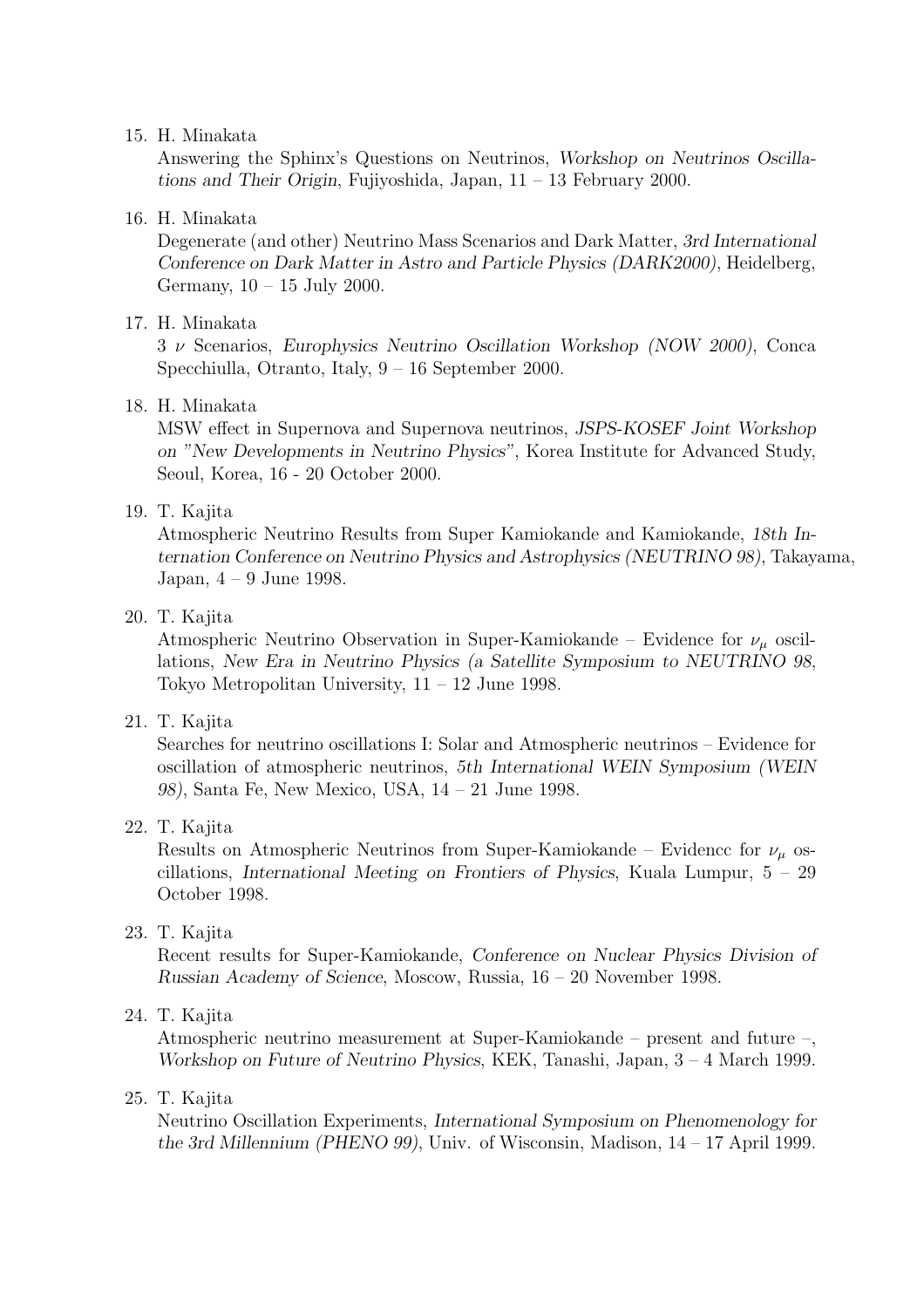#### 15. H. Minakata

Answering the Sphinx's Questions on Neutrinos, Workshop on Neutrinos Oscillations and Their Origin, Fujiyoshida, Japan, 11 – 13 February 2000.

#### 16. H. Minakata

Degenerate (and other) Neutrino Mass Scenarios and Dark Matter, 3rd International Conference on Dark Matter in Astro and Particle Physics (DARK2000), Heidelberg, Germany,  $10 - 15$  July 2000.

#### 17. H. Minakata

3 ν Scenarios, Europhysics Neutrino Oscillation Workshop (NOW 2000), Conca Specchiulla, Otranto, Italy, 9 – 16 September 2000.

#### 18. H. Minakata

MSW effect in Supernova and Supernova neutrinos, JSPS-KOSEF Joint Workshop on "New Developments in Neutrino Physics", Korea Institute for Advanced Study, Seoul, Korea, 16 - 20 October 2000.

#### 19. T. Kajita

Atmospheric Neutrino Results from Super Kamiokande and Kamiokande, 18th Internation Conference on Neutrino Physics and Astrophysics (NEUTRINO 98), Takayama, Japan, 4 – 9 June 1998.

#### 20. T. Kajita

Atmospheric Neutrino Observation in Super-Kamiokande – Evidence for  $\nu_{\mu}$  oscillations, New Era in Neutrino Physics (a Satellite Symposium to NEUTRINO 98, Tokyo Metropolitan University, 11 – 12 June 1998.

#### 21. T. Kajita

Searches for neutrino oscillations I: Solar and Atmospheric neutrinos – Evidence for oscillation of atmospheric neutrinos, 5th International WEIN Symposium (WEIN 98), Santa Fe, New Mexico, USA, 14 – 21 June 1998.

# 22. T. Kajita

Results on Atmospheric Neutrinos from Super-Kamiokande – Evidence for  $\nu_{\mu}$  oscillations, International Meeting on Frontiers of Physics, Kuala Lumpur, 5 – 29 October 1998.

#### 23. T. Kajita

Recent results for Super-Kamiokande, Conference on Nuclear Physics Division of Russian Academy of Science, Moscow, Russia, 16 – 20 November 1998.

#### 24. T. Kajita

Atmospheric neutrino measurement at Super-Kamiokande – present and future –, Workshop on Future of Neutrino Physics, KEK, Tanashi, Japan, 3 – 4 March 1999.

#### 25. T. Kajita

Neutrino Oscillation Experiments, International Symposium on Phenomenology for the 3rd Millennium (PHENO 99), Univ. of Wisconsin, Madison,  $14 - 17$  April 1999.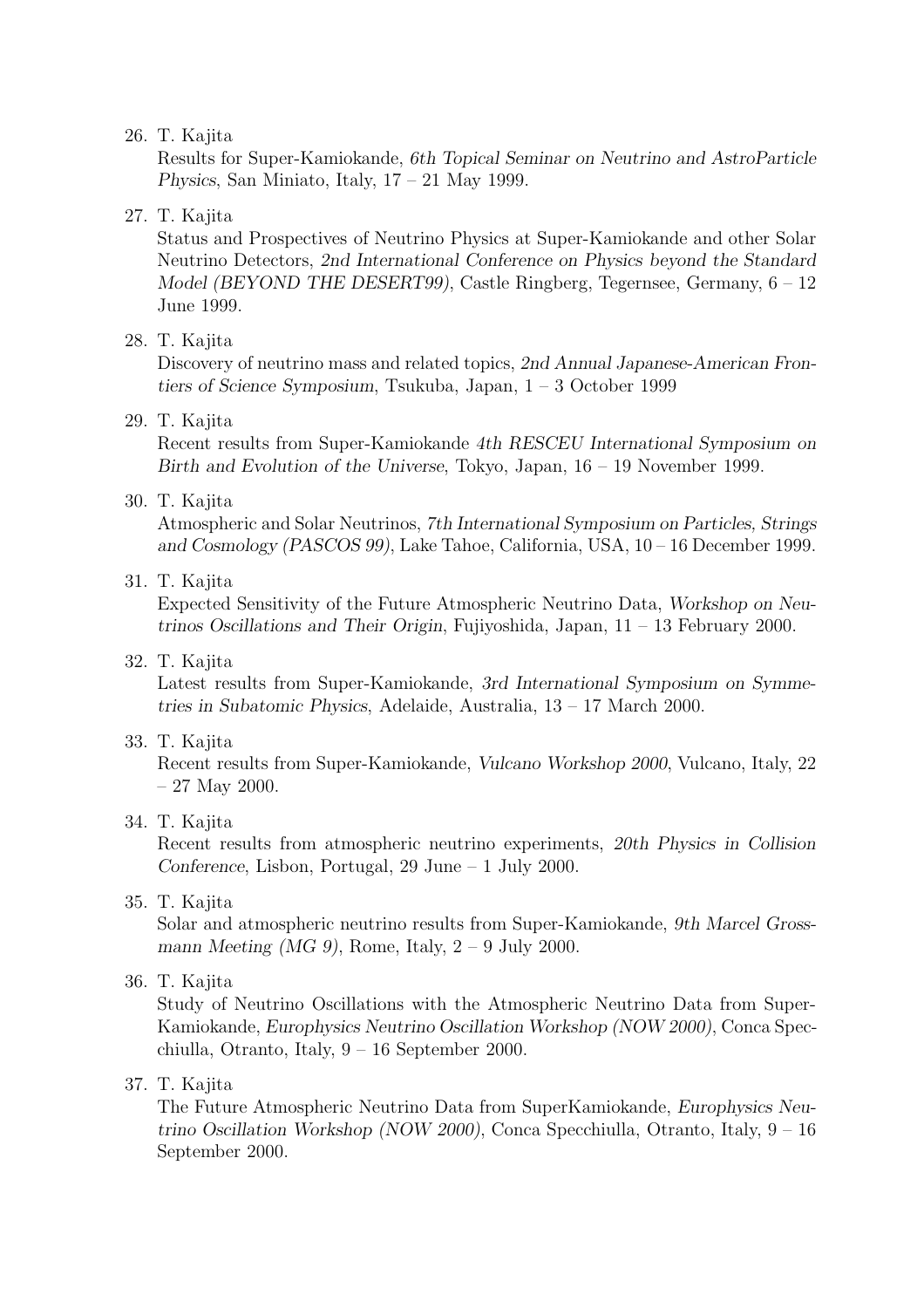#### 26. T. Kajita

Results for Super-Kamiokande, 6th Topical Seminar on Neutrino and AstroParticle Physics, San Miniato, Italy,  $17 - 21$  May 1999.

### 27. T. Kajita

Status and Prospectives of Neutrino Physics at Super-Kamiokande and other Solar Neutrino Detectors, 2nd International Conference on Physics beyond the Standard Model (BEYOND THE DESERT99), Castle Ringberg, Tegernsee, Germany,  $6 - 12$ June 1999.

# 28. T. Kajita

Discovery of neutrino mass and related topics, 2nd Annual Japanese-American Frontiers of Science Symposium, Tsukuba, Japan, 1 – 3 October 1999

#### 29. T. Kajita

Recent results from Super-Kamiokande 4th RESCEU International Symposium on Birth and Evolution of the Universe, Tokyo, Japan, 16 – 19 November 1999.

#### 30. T. Kajita

Atmospheric and Solar Neutrinos, 7th International Symposium on Particles, Strings and Cosmology (PASCOS 99), Lake Tahoe, California, USA, 10 – 16 December 1999.

#### 31. T. Kajita

Expected Sensitivity of the Future Atmospheric Neutrino Data, Workshop on Neutrinos Oscillations and Their Origin, Fujiyoshida, Japan, 11 – 13 February 2000.

### 32. T. Kajita

Latest results from Super-Kamiokande, 3rd International Symposium on Symmetries in Subatomic Physics, Adelaide, Australia, 13 – 17 March 2000.

# 33. T. Kajita

Recent results from Super-Kamiokande, Vulcano Workshop 2000, Vulcano, Italy, 22 – 27 May 2000.

# 34. T. Kajita

Recent results from atmospheric neutrino experiments, 20th Physics in Collision Conference, Lisbon, Portugal, 29 June – 1 July 2000.

# 35. T. Kajita

Solar and atmospheric neutrino results from Super-Kamiokande, 9th Marcel Grossmann Meeting (MG 9), Rome, Italy,  $2 - 9$  July 2000.

# 36. T. Kajita

Study of Neutrino Oscillations with the Atmospheric Neutrino Data from Super-Kamiokande, Europhysics Neutrino Oscillation Workshop (NOW 2000), Conca Specchiulla, Otranto, Italy, 9 – 16 September 2000.

# 37. T. Kajita

The Future Atmospheric Neutrino Data from SuperKamiokande, Europhysics Neutrino Oscillation Workshop (NOW 2000), Conca Specchiulla, Otranto, Italy, 9 – 16 September 2000.